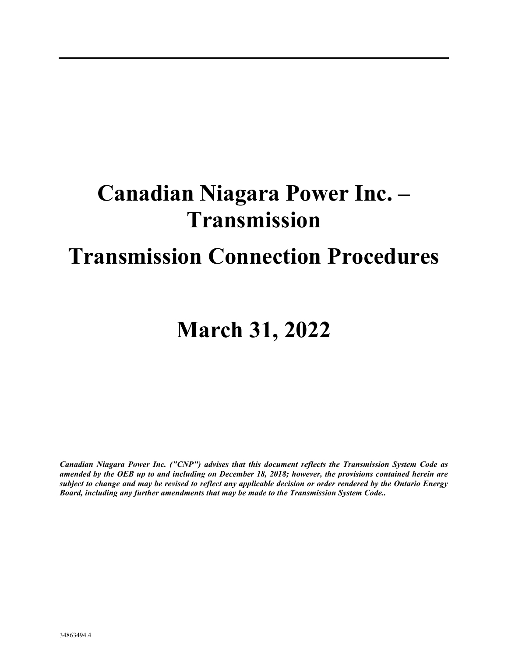# **Canadian Niagara Power Inc. – Transmission**

# **Transmission Connection Procedures**

# **March 31, 2022**

*Canadian Niagara Power Inc. ("CNP") advises that this document reflects the Transmission System Code as amended by the OEB up to and including on December 18, 2018; however, the provisions contained herein are subject to change and may be revised to reflect any applicable decision or order rendered by the Ontario Energy Board, including any further amendments that may be made to the Transmission System Code..*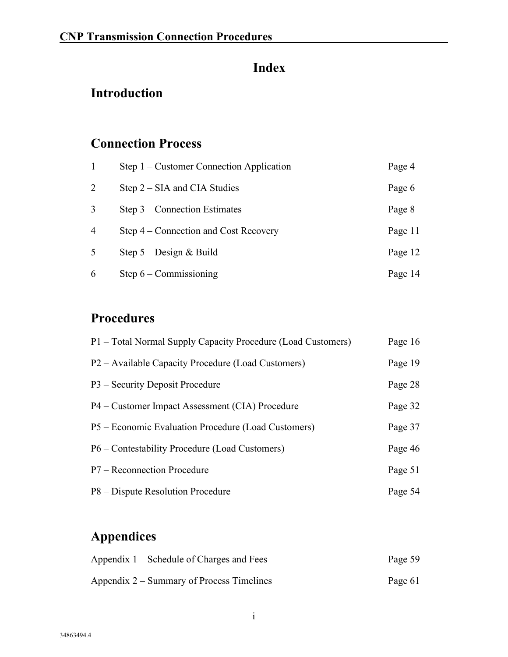### **Index**

### **Introduction**

### **Connection Process**

| $\mathbf{1}$   | Step $1$ – Customer Connection Application | Page 4  |
|----------------|--------------------------------------------|---------|
| 2              | Step $2 - SIA$ and CIA Studies             | Page 6  |
| 3              | Step $3$ – Connection Estimates            | Page 8  |
| $\overline{4}$ | Step 4 – Connection and Cost Recovery      | Page 11 |
| 5              | Step $5 -$ Design & Build                  | Page 12 |
| 6              | Step $6$ – Commissioning                   | Page 14 |

### **Procedures**

| P1 – Total Normal Supply Capacity Procedure (Load Customers) | Page 16 |
|--------------------------------------------------------------|---------|
| P2 – Available Capacity Procedure (Load Customers)           | Page 19 |
| P3 – Security Deposit Procedure                              | Page 28 |
| P4 – Customer Impact Assessment (CIA) Procedure              | Page 32 |
| P5 – Economic Evaluation Procedure (Load Customers)          | Page 37 |
| P6 – Contestability Procedure (Load Customers)               | Page 46 |
| P7 – Reconnection Procedure                                  | Page 51 |
| P8 – Dispute Resolution Procedure                            | Page 54 |

### **Appendices**

| Appendix 1 – Schedule of Charges and Fees | Page 59 |
|-------------------------------------------|---------|
| Appendix 2 – Summary of Process Timelines | Page 61 |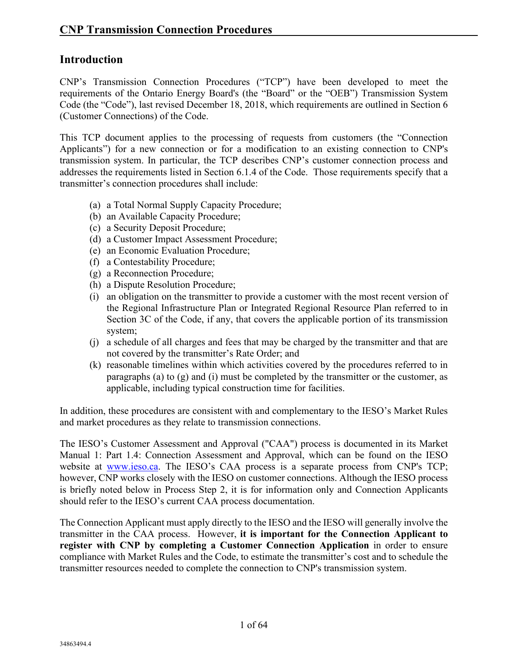#### **Introduction**

CNP's Transmission Connection Procedures ("TCP") have been developed to meet the requirements of the Ontario Energy Board's (the "Board" or the "OEB") Transmission System Code (the "Code"), last revised December 18, 2018, which requirements are outlined in Section 6 (Customer Connections) of the Code.

This TCP document applies to the processing of requests from customers (the "Connection Applicants") for a new connection or for a modification to an existing connection to CNP's transmission system. In particular, the TCP describes CNP's customer connection process and addresses the requirements listed in Section 6.1.4 of the Code. Those requirements specify that a transmitter's connection procedures shall include:

- (a) a Total Normal Supply Capacity Procedure;
- (b) an Available Capacity Procedure;
- (c) a Security Deposit Procedure;
- (d) a Customer Impact Assessment Procedure;
- (e) an Economic Evaluation Procedure;
- (f) a Contestability Procedure;
- (g) a Reconnection Procedure;
- (h) a Dispute Resolution Procedure;
- (i) an obligation on the transmitter to provide a customer with the most recent version of the Regional Infrastructure Plan or Integrated Regional Resource Plan referred to in Section 3C of the Code, if any, that covers the applicable portion of its transmission system;
- (j) a schedule of all charges and fees that may be charged by the transmitter and that are not covered by the transmitter's Rate Order; and
- (k) reasonable timelines within which activities covered by the procedures referred to in paragraphs (a) to  $(g)$  and (i) must be completed by the transmitter or the customer, as applicable, including typical construction time for facilities.

In addition, these procedures are consistent with and complementary to the IESO's Market Rules and market procedures as they relate to transmission connections.

The IESO's Customer Assessment and Approval ("CAA") process is documented in its Market Manual 1: Part 1.4: Connection Assessment and Approval, which can be found on the IESO website at [www.ieso.ca.](https://www.ieso.ca/) The IESO's CAA process is a separate process from CNP's TCP; however, CNP works closely with the IESO on customer connections. Although the IESO process is briefly noted below in Process Step 2, it is for information only and Connection Applicants should refer to the IESO's current CAA process documentation.

The Connection Applicant must apply directly to the IESO and the IESO will generally involve the transmitter in the CAA process. However, **it is important for the Connection Applicant to register with CNP by completing a Customer Connection Application** in order to ensure compliance with Market Rules and the Code, to estimate the transmitter's cost and to schedule the transmitter resources needed to complete the connection to CNP's transmission system.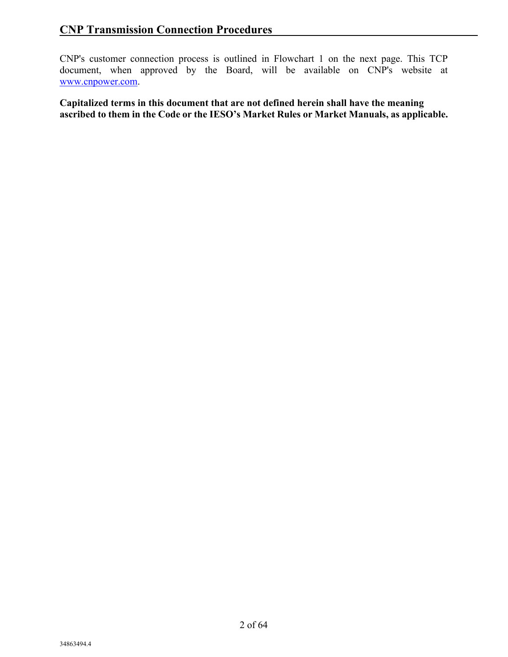CNP's customer connection process is outlined in Flowchart 1 on the next page. This TCP document, when approved by the Board, will be available on CNP's website at [www.cnpower.com.](https://www.cnpower.com/)

**Capitalized terms in this document that are not defined herein shall have the meaning ascribed to them in the Code or the IESO's Market Rules or Market Manuals, as applicable.**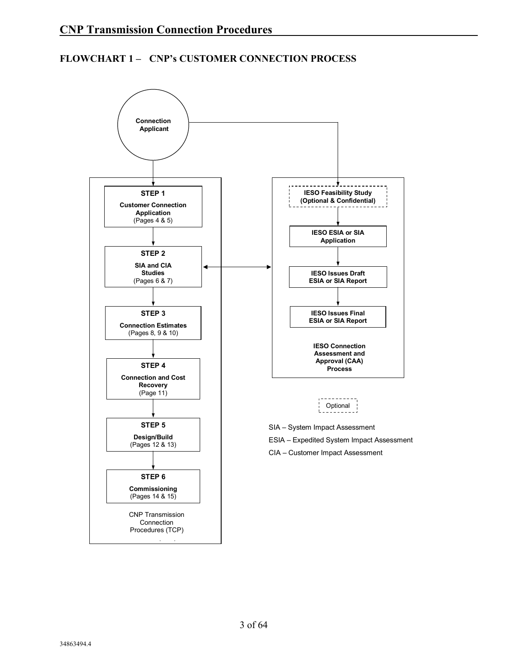#### **FLOWCHART 1 – CNP's CUSTOMER CONNECTION PROCESS**

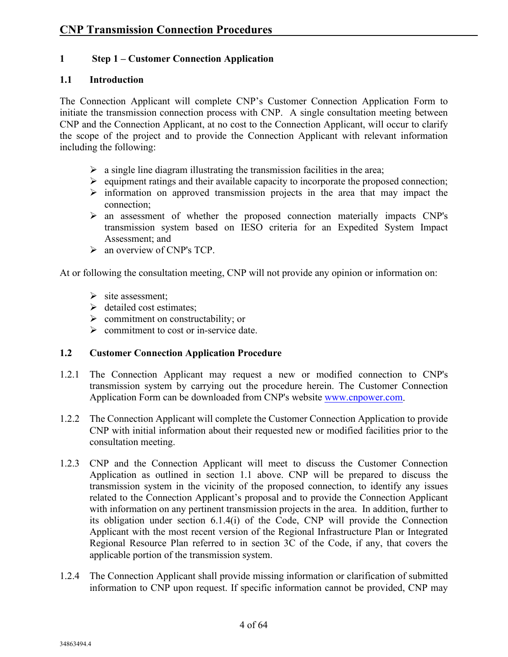#### **1 Step 1 – Customer Connection Application**

#### **1.1 Introduction**

The Connection Applicant will complete CNP's Customer Connection Application Form to initiate the transmission connection process with CNP. A single consultation meeting between CNP and the Connection Applicant, at no cost to the Connection Applicant, will occur to clarify the scope of the project and to provide the Connection Applicant with relevant information including the following:

- $\triangleright$  a single line diagram illustrating the transmission facilities in the area;
- $\triangleright$  equipment ratings and their available capacity to incorporate the proposed connection;
- $\triangleright$  information on approved transmission projects in the area that may impact the connection;
- an assessment of whether the proposed connection materially impacts CNP's transmission system based on IESO criteria for an Expedited System Impact Assessment; and
- $\triangleright$  an overview of CNP's TCP.

At or following the consultation meeting, CNP will not provide any opinion or information on:

- $\triangleright$  site assessment:
- $\triangleright$  detailed cost estimates;
- $\triangleright$  commitment on constructability; or
- $\triangleright$  commitment to cost or in-service date.

#### **1.2 Customer Connection Application Procedure**

- 1.2.1 The Connection Applicant may request a new or modified connection to CNP's transmission system by carrying out the procedure herein. The Customer Connection Application Form can be downloaded from CNP's website [www.cnpower.com.](https://www.cnpower.com/)
- 1.2.2 The Connection Applicant will complete the Customer Connection Application to provide CNP with initial information about their requested new or modified facilities prior to the consultation meeting.
- 1.2.3 CNP and the Connection Applicant will meet to discuss the Customer Connection Application as outlined in section 1.1 above. CNP will be prepared to discuss the transmission system in the vicinity of the proposed connection, to identify any issues related to the Connection Applicant's proposal and to provide the Connection Applicant with information on any pertinent transmission projects in the area. In addition, further to its obligation under section 6.1.4(i) of the Code, CNP will provide the Connection Applicant with the most recent version of the Regional Infrastructure Plan or Integrated Regional Resource Plan referred to in section 3C of the Code, if any, that covers the applicable portion of the transmission system.
- 1.2.4 The Connection Applicant shall provide missing information or clarification of submitted information to CNP upon request. If specific information cannot be provided, CNP may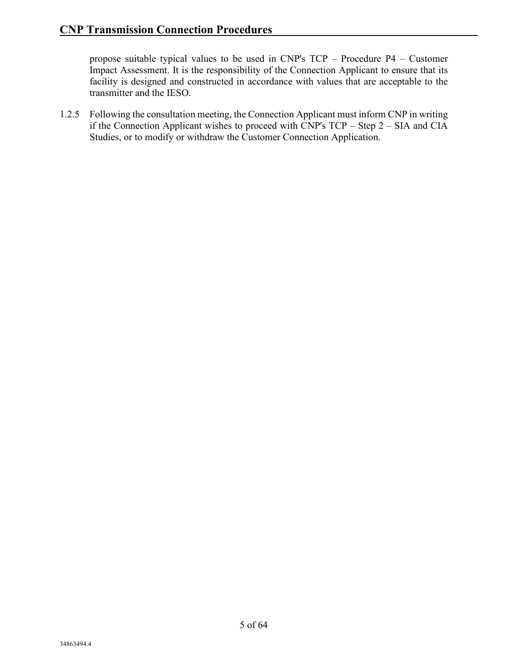propose suitable typical values to be used in CNP's TCP – Procedure P4 – Customer Impact Assessment. It is the responsibility of the Connection Applicant to ensure that its facility is designed and constructed in accordance with values that are acceptable to the transmitter and the IESO.

1.2.5 Following the consultation meeting, the Connection Applicant must inform CNP in writing if the Connection Applicant wishes to proceed with CNP's TCP – Step 2 – SIA and CIA Studies, or to modify or withdraw the Customer Connection Application.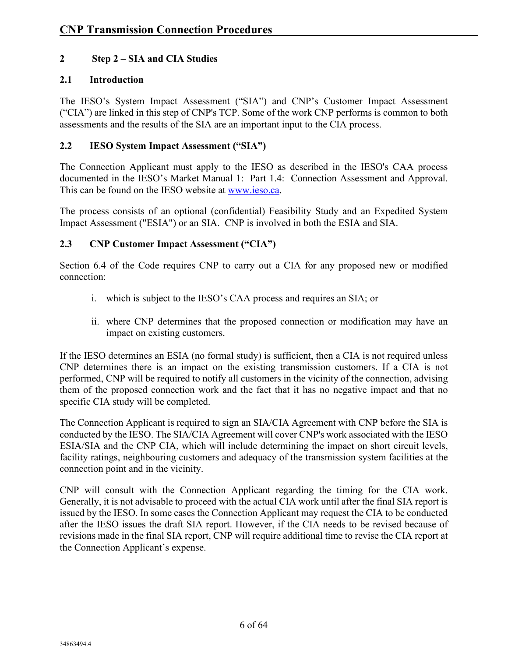#### **2 Step 2 – SIA and CIA Studies**

#### **2.1 Introduction**

The IESO's System Impact Assessment ("SIA") and CNP's Customer Impact Assessment ("CIA") are linked in this step of CNP's TCP. Some of the work CNP performs is common to both assessments and the results of the SIA are an important input to the CIA process.

#### **2.2 IESO System Impact Assessment ("SIA")**

The Connection Applicant must apply to the IESO as described in the IESO's CAA process documented in the IESO's Market Manual 1: Part 1.4: Connection Assessment and Approval. This can be found on the IESO website at [www.ieso.ca.](https://www.ieso.ca/)

The process consists of an optional (confidential) Feasibility Study and an Expedited System Impact Assessment ("ESIA") or an SIA. CNP is involved in both the ESIA and SIA.

#### **2.3 CNP Customer Impact Assessment ("CIA")**

Section 6.4 of the Code requires CNP to carry out a CIA for any proposed new or modified connection:

- i. which is subject to the IESO's CAA process and requires an SIA; or
- ii. where CNP determines that the proposed connection or modification may have an impact on existing customers.

If the IESO determines an ESIA (no formal study) is sufficient, then a CIA is not required unless CNP determines there is an impact on the existing transmission customers. If a CIA is not performed, CNP will be required to notify all customers in the vicinity of the connection, advising them of the proposed connection work and the fact that it has no negative impact and that no specific CIA study will be completed.

The Connection Applicant is required to sign an SIA/CIA Agreement with CNP before the SIA is conducted by the IESO. The SIA/CIA Agreement will cover CNP's work associated with the IESO ESIA/SIA and the CNP CIA, which will include determining the impact on short circuit levels, facility ratings, neighbouring customers and adequacy of the transmission system facilities at the connection point and in the vicinity.

CNP will consult with the Connection Applicant regarding the timing for the CIA work. Generally, it is not advisable to proceed with the actual CIA work until after the final SIA report is issued by the IESO. In some cases the Connection Applicant may request the CIA to be conducted after the IESO issues the draft SIA report. However, if the CIA needs to be revised because of revisions made in the final SIA report, CNP will require additional time to revise the CIA report at the Connection Applicant's expense.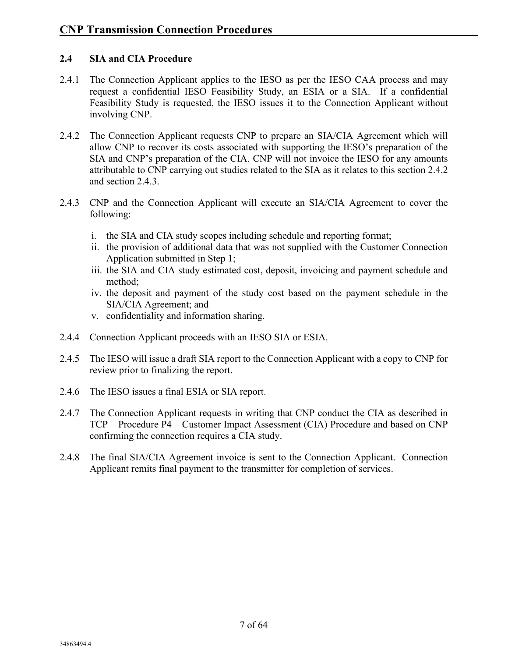#### **2.4 SIA and CIA Procedure**

- 2.4.1 The Connection Applicant applies to the IESO as per the IESO CAA process and may request a confidential IESO Feasibility Study, an ESIA or a SIA. If a confidential Feasibility Study is requested, the IESO issues it to the Connection Applicant without involving CNP.
- 2.4.2 The Connection Applicant requests CNP to prepare an SIA/CIA Agreement which will allow CNP to recover its costs associated with supporting the IESO's preparation of the SIA and CNP's preparation of the CIA. CNP will not invoice the IESO for any amounts attributable to CNP carrying out studies related to the SIA as it relates to this section 2.4.2 and section 2.4.3.
- 2.4.3 CNP and the Connection Applicant will execute an SIA/CIA Agreement to cover the following:
	- i. the SIA and CIA study scopes including schedule and reporting format;
	- ii. the provision of additional data that was not supplied with the Customer Connection Application submitted in Step 1;
	- iii. the SIA and CIA study estimated cost, deposit, invoicing and payment schedule and method;
	- iv. the deposit and payment of the study cost based on the payment schedule in the SIA/CIA Agreement; and
	- v. confidentiality and information sharing.
- 2.4.4 Connection Applicant proceeds with an IESO SIA or ESIA.
- 2.4.5 The IESO will issue a draft SIA report to the Connection Applicant with a copy to CNP for review prior to finalizing the report.
- 2.4.6 The IESO issues a final ESIA or SIA report.
- 2.4.7 The Connection Applicant requests in writing that CNP conduct the CIA as described in TCP – Procedure P4 – Customer Impact Assessment (CIA) Procedure and based on CNP confirming the connection requires a CIA study.
- 2.4.8 The final SIA/CIA Agreement invoice is sent to the Connection Applicant. Connection Applicant remits final payment to the transmitter for completion of services.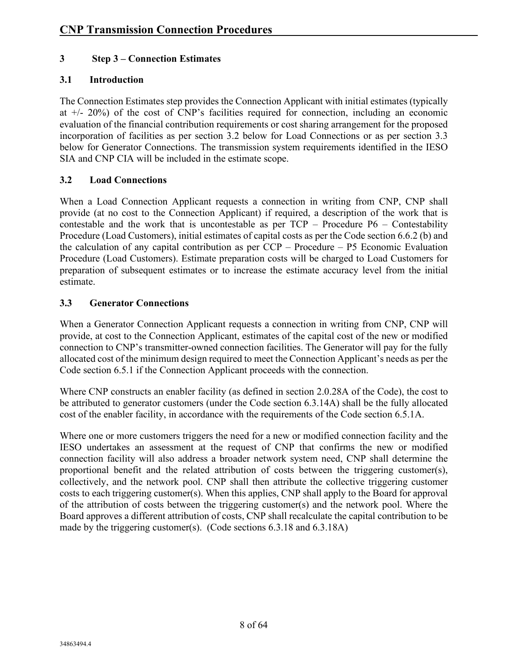#### **3 Step 3 – Connection Estimates**

#### **3.1 Introduction**

The Connection Estimates step provides the Connection Applicant with initial estimates (typically at +/- 20%) of the cost of CNP's facilities required for connection, including an economic evaluation of the financial contribution requirements or cost sharing arrangement for the proposed incorporation of facilities as per section 3.2 below for Load Connections or as per section 3.3 below for Generator Connections. The transmission system requirements identified in the IESO SIA and CNP CIA will be included in the estimate scope.

#### **3.2 Load Connections**

When a Load Connection Applicant requests a connection in writing from CNP, CNP shall provide (at no cost to the Connection Applicant) if required, a description of the work that is contestable and the work that is uncontestable as per  $TCP - Procedure P6 - Contextability$ Procedure (Load Customers), initial estimates of capital costs as per the Code section 6.6.2 (b) and the calculation of any capital contribution as per  $CCP -$  Procedure – P5 Economic Evaluation Procedure (Load Customers). Estimate preparation costs will be charged to Load Customers for preparation of subsequent estimates or to increase the estimate accuracy level from the initial estimate.

#### **3.3 Generator Connections**

When a Generator Connection Applicant requests a connection in writing from CNP, CNP will provide, at cost to the Connection Applicant, estimates of the capital cost of the new or modified connection to CNP's transmitter-owned connection facilities. The Generator will pay for the fully allocated cost of the minimum design required to meet the Connection Applicant's needs as per the Code section 6.5.1 if the Connection Applicant proceeds with the connection.

Where CNP constructs an enabler facility (as defined in section 2.0.28A of the Code), the cost to be attributed to generator customers (under the Code section 6.3.14A) shall be the fully allocated cost of the enabler facility, in accordance with the requirements of the Code section 6.5.1A.

Where one or more customers triggers the need for a new or modified connection facility and the IESO undertakes an assessment at the request of CNP that confirms the new or modified connection facility will also address a broader network system need, CNP shall determine the proportional benefit and the related attribution of costs between the triggering customer(s), collectively, and the network pool. CNP shall then attribute the collective triggering customer costs to each triggering customer(s). When this applies, CNP shall apply to the Board for approval of the attribution of costs between the triggering customer(s) and the network pool. Where the Board approves a different attribution of costs, CNP shall recalculate the capital contribution to be made by the triggering customer(s). (Code sections 6.3.18 and 6.3.18A)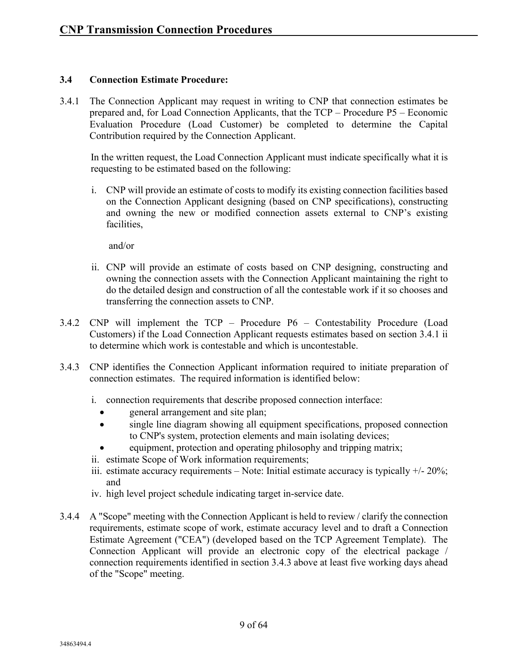#### **3.4 Connection Estimate Procedure:**

3.4.1 The Connection Applicant may request in writing to CNP that connection estimates be prepared and, for Load Connection Applicants, that the TCP – Procedure P5 – Economic Evaluation Procedure (Load Customer) be completed to determine the Capital Contribution required by the Connection Applicant.

In the written request, the Load Connection Applicant must indicate specifically what it is requesting to be estimated based on the following:

i. CNP will provide an estimate of costs to modify its existing connection facilities based on the Connection Applicant designing (based on CNP specifications), constructing and owning the new or modified connection assets external to CNP's existing facilities,

and/or

- ii. CNP will provide an estimate of costs based on CNP designing, constructing and owning the connection assets with the Connection Applicant maintaining the right to do the detailed design and construction of all the contestable work if it so chooses and transferring the connection assets to CNP.
- 3.4.2 CNP will implement the TCP Procedure P6 Contestability Procedure (Load Customers) if the Load Connection Applicant requests estimates based on section 3.4.1 ii to determine which work is contestable and which is uncontestable.
- 3.4.3 CNP identifies the Connection Applicant information required to initiate preparation of connection estimates. The required information is identified below:
	- i. connection requirements that describe proposed connection interface:
		- general arrangement and site plan;
		- single line diagram showing all equipment specifications, proposed connection to CNP's system, protection elements and main isolating devices;
			- equipment, protection and operating philosophy and tripping matrix;
	- ii. estimate Scope of Work information requirements;
	- iii. estimate accuracy requirements Note: Initial estimate accuracy is typically  $+/- 20\%$ ; and
	- iv. high level project schedule indicating target in-service date.
- 3.4.4 A "Scope" meeting with the Connection Applicant is held to review / clarify the connection requirements, estimate scope of work, estimate accuracy level and to draft a Connection Estimate Agreement ("CEA") (developed based on the TCP Agreement Template). The Connection Applicant will provide an electronic copy of the electrical package / connection requirements identified in section 3.4.3 above at least five working days ahead of the "Scope" meeting.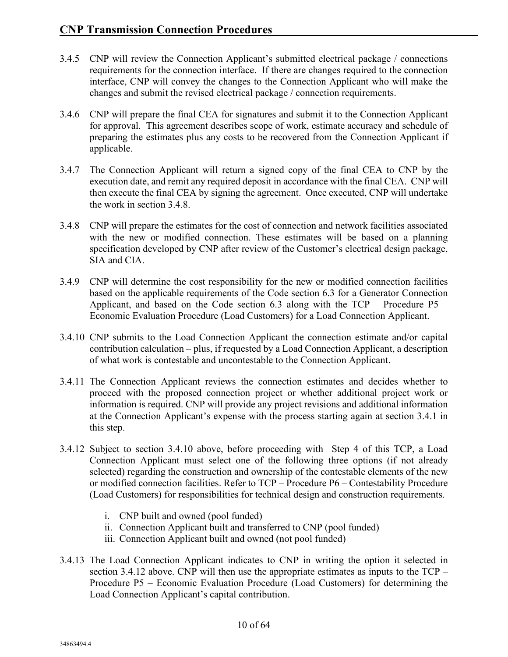- 3.4.5 CNP will review the Connection Applicant's submitted electrical package / connections requirements for the connection interface. If there are changes required to the connection interface, CNP will convey the changes to the Connection Applicant who will make the changes and submit the revised electrical package / connection requirements.
- 3.4.6 CNP will prepare the final CEA for signatures and submit it to the Connection Applicant for approval. This agreement describes scope of work, estimate accuracy and schedule of preparing the estimates plus any costs to be recovered from the Connection Applicant if applicable.
- 3.4.7 The Connection Applicant will return a signed copy of the final CEA to CNP by the execution date, and remit any required deposit in accordance with the final CEA. CNP will then execute the final CEA by signing the agreement. Once executed, CNP will undertake the work in section 3.4.8.
- 3.4.8 CNP will prepare the estimates for the cost of connection and network facilities associated with the new or modified connection. These estimates will be based on a planning specification developed by CNP after review of the Customer's electrical design package, SIA and CIA.
- 3.4.9 CNP will determine the cost responsibility for the new or modified connection facilities based on the applicable requirements of the Code section 6.3 for a Generator Connection Applicant, and based on the Code section 6.3 along with the TCP – Procedure P5 – Economic Evaluation Procedure (Load Customers) for a Load Connection Applicant.
- 3.4.10 CNP submits to the Load Connection Applicant the connection estimate and/or capital contribution calculation – plus, if requested by a Load Connection Applicant, a description of what work is contestable and uncontestable to the Connection Applicant.
- 3.4.11 The Connection Applicant reviews the connection estimates and decides whether to proceed with the proposed connection project or whether additional project work or information is required. CNP will provide any project revisions and additional information at the Connection Applicant's expense with the process starting again at section 3.4.1 in this step.
- 3.4.12 Subject to section 3.4.10 above, before proceeding with Step 4 of this TCP, a Load Connection Applicant must select one of the following three options (if not already selected) regarding the construction and ownership of the contestable elements of the new or modified connection facilities. Refer to TCP – Procedure P6 – Contestability Procedure (Load Customers) for responsibilities for technical design and construction requirements.
	- i. CNP built and owned (pool funded)
	- ii. Connection Applicant built and transferred to CNP (pool funded)
	- iii. Connection Applicant built and owned (not pool funded)
- 3.4.13 The Load Connection Applicant indicates to CNP in writing the option it selected in section 3.4.12 above. CNP will then use the appropriate estimates as inputs to the TCP – Procedure P5 – Economic Evaluation Procedure (Load Customers) for determining the Load Connection Applicant's capital contribution.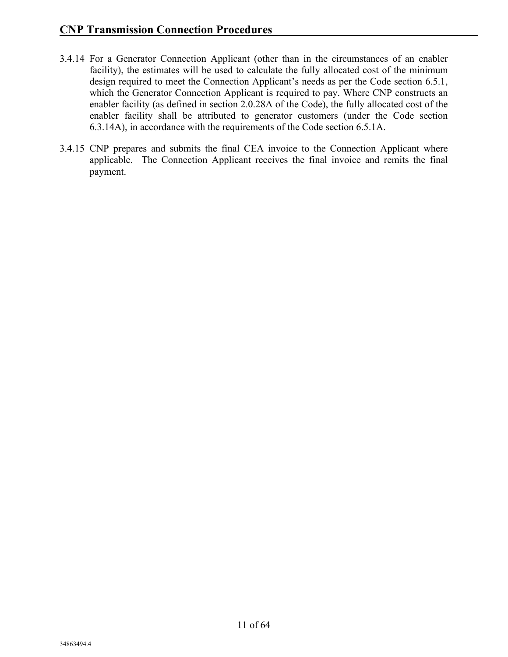- 3.4.14 For a Generator Connection Applicant (other than in the circumstances of an enabler facility), the estimates will be used to calculate the fully allocated cost of the minimum design required to meet the Connection Applicant's needs as per the Code section 6.5.1, which the Generator Connection Applicant is required to pay. Where CNP constructs an enabler facility (as defined in section 2.0.28A of the Code), the fully allocated cost of the enabler facility shall be attributed to generator customers (under the Code section 6.3.14A), in accordance with the requirements of the Code section 6.5.1A.
- 3.4.15 CNP prepares and submits the final CEA invoice to the Connection Applicant where applicable. The Connection Applicant receives the final invoice and remits the final payment.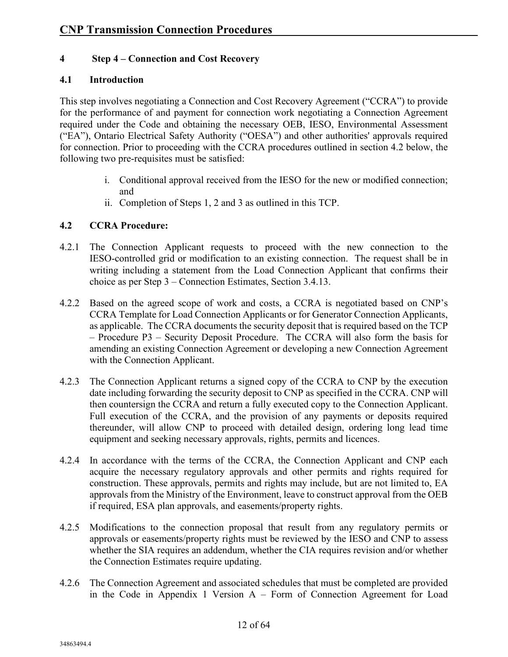#### **4 Step 4 – Connection and Cost Recovery**

#### **4.1 Introduction**

This step involves negotiating a Connection and Cost Recovery Agreement ("CCRA") to provide for the performance of and payment for connection work negotiating a Connection Agreement required under the Code and obtaining the necessary OEB, IESO, Environmental Assessment ("EA"), Ontario Electrical Safety Authority ("OESA") and other authorities' approvals required for connection. Prior to proceeding with the CCRA procedures outlined in section 4.2 below, the following two pre-requisites must be satisfied:

- i. Conditional approval received from the IESO for the new or modified connection; and
- ii. Completion of Steps 1, 2 and 3 as outlined in this TCP.

#### **4.2 CCRA Procedure:**

- 4.2.1 The Connection Applicant requests to proceed with the new connection to the IESO-controlled grid or modification to an existing connection. The request shall be in writing including a statement from the Load Connection Applicant that confirms their choice as per Step 3 – Connection Estimates, Section 3.4.13.
- 4.2.2 Based on the agreed scope of work and costs, a CCRA is negotiated based on CNP's CCRA Template for Load Connection Applicants or for Generator Connection Applicants, as applicable. The CCRA documents the security deposit that is required based on the TCP – Procedure P3 – Security Deposit Procedure. The CCRA will also form the basis for amending an existing Connection Agreement or developing a new Connection Agreement with the Connection Applicant.
- 4.2.3 The Connection Applicant returns a signed copy of the CCRA to CNP by the execution date including forwarding the security deposit to CNP as specified in the CCRA. CNP will then countersign the CCRA and return a fully executed copy to the Connection Applicant. Full execution of the CCRA, and the provision of any payments or deposits required thereunder, will allow CNP to proceed with detailed design, ordering long lead time equipment and seeking necessary approvals, rights, permits and licences.
- 4.2.4 In accordance with the terms of the CCRA, the Connection Applicant and CNP each acquire the necessary regulatory approvals and other permits and rights required for construction. These approvals, permits and rights may include, but are not limited to, EA approvals from the Ministry of the Environment, leave to construct approval from the OEB if required, ESA plan approvals, and easements/property rights.
- 4.2.5 Modifications to the connection proposal that result from any regulatory permits or approvals or easements/property rights must be reviewed by the IESO and CNP to assess whether the SIA requires an addendum, whether the CIA requires revision and/or whether the Connection Estimates require updating.
- 4.2.6 The Connection Agreement and associated schedules that must be completed are provided in the Code in Appendix 1 Version A – Form of Connection Agreement for Load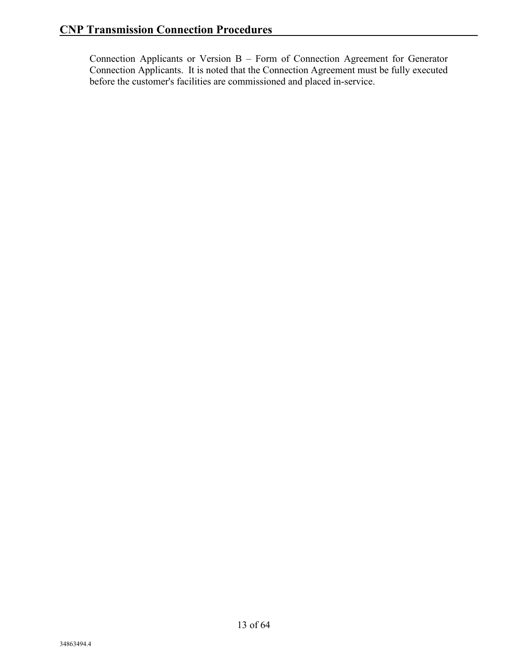Connection Applicants or Version B – Form of Connection Agreement for Generator Connection Applicants. It is noted that the Connection Agreement must be fully executed before the customer's facilities are commissioned and placed in-service.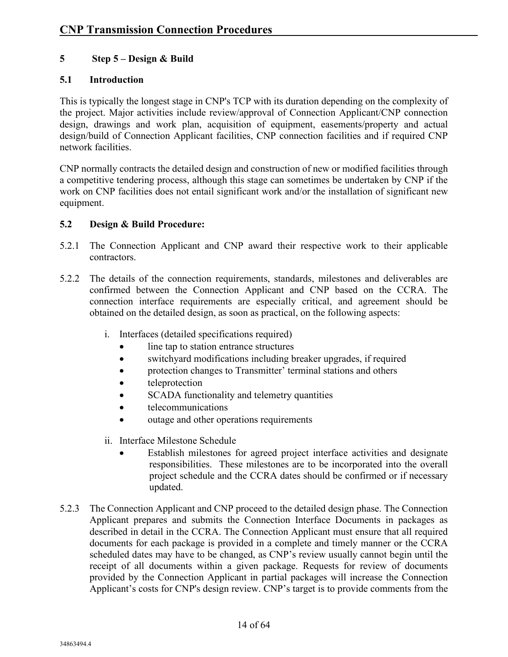#### **5 Step 5 – Design & Build**

#### **5.1 Introduction**

This is typically the longest stage in CNP's TCP with its duration depending on the complexity of the project. Major activities include review/approval of Connection Applicant/CNP connection design, drawings and work plan, acquisition of equipment, easements/property and actual design/build of Connection Applicant facilities, CNP connection facilities and if required CNP network facilities.

CNP normally contracts the detailed design and construction of new or modified facilities through a competitive tendering process, although this stage can sometimes be undertaken by CNP if the work on CNP facilities does not entail significant work and/or the installation of significant new equipment.

#### **5.2 Design & Build Procedure:**

- 5.2.1 The Connection Applicant and CNP award their respective work to their applicable contractors.
- 5.2.2 The details of the connection requirements, standards, milestones and deliverables are confirmed between the Connection Applicant and CNP based on the CCRA. The connection interface requirements are especially critical, and agreement should be obtained on the detailed design, as soon as practical, on the following aspects:
	- i. Interfaces (detailed specifications required)
		- line tap to station entrance structures
		- switchyard modifications including breaker upgrades, if required
		- protection changes to Transmitter' terminal stations and others
		- teleprotection
		- SCADA functionality and telemetry quantities
		- telecommunications
		- outage and other operations requirements
	- ii. Interface Milestone Schedule
		- Establish milestones for agreed project interface activities and designate responsibilities. These milestones are to be incorporated into the overall project schedule and the CCRA dates should be confirmed or if necessary updated.
- 5.2.3 The Connection Applicant and CNP proceed to the detailed design phase. The Connection Applicant prepares and submits the Connection Interface Documents in packages as described in detail in the CCRA. The Connection Applicant must ensure that all required documents for each package is provided in a complete and timely manner or the CCRA scheduled dates may have to be changed, as CNP's review usually cannot begin until the receipt of all documents within a given package. Requests for review of documents provided by the Connection Applicant in partial packages will increase the Connection Applicant's costs for CNP's design review. CNP's target is to provide comments from the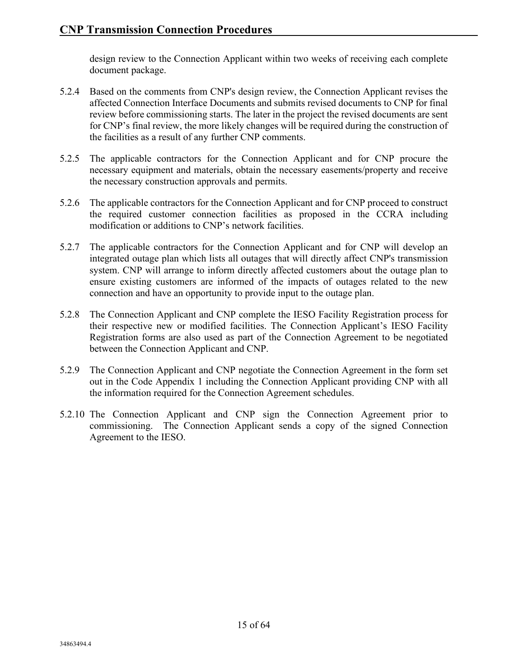design review to the Connection Applicant within two weeks of receiving each complete document package.

- 5.2.4 Based on the comments from CNP's design review, the Connection Applicant revises the affected Connection Interface Documents and submits revised documents to CNP for final review before commissioning starts. The later in the project the revised documents are sent for CNP's final review, the more likely changes will be required during the construction of the facilities as a result of any further CNP comments.
- 5.2.5 The applicable contractors for the Connection Applicant and for CNP procure the necessary equipment and materials, obtain the necessary easements/property and receive the necessary construction approvals and permits.
- 5.2.6 The applicable contractors for the Connection Applicant and for CNP proceed to construct the required customer connection facilities as proposed in the CCRA including modification or additions to CNP's network facilities.
- 5.2.7 The applicable contractors for the Connection Applicant and for CNP will develop an integrated outage plan which lists all outages that will directly affect CNP's transmission system. CNP will arrange to inform directly affected customers about the outage plan to ensure existing customers are informed of the impacts of outages related to the new connection and have an opportunity to provide input to the outage plan.
- 5.2.8 The Connection Applicant and CNP complete the IESO Facility Registration process for their respective new or modified facilities. The Connection Applicant's IESO Facility Registration forms are also used as part of the Connection Agreement to be negotiated between the Connection Applicant and CNP.
- 5.2.9 The Connection Applicant and CNP negotiate the Connection Agreement in the form set out in the Code Appendix 1 including the Connection Applicant providing CNP with all the information required for the Connection Agreement schedules.
- 5.2.10 The Connection Applicant and CNP sign the Connection Agreement prior to commissioning. The Connection Applicant sends a copy of the signed Connection Agreement to the IESO.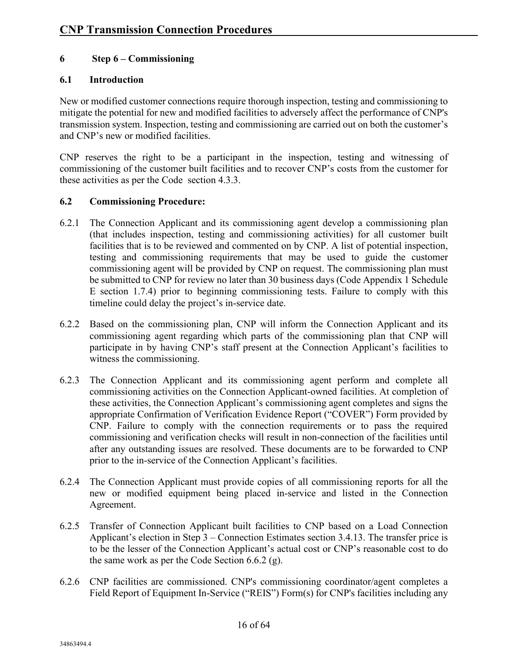#### **6 Step 6 – Commissioning**

#### **6.1 Introduction**

New or modified customer connections require thorough inspection, testing and commissioning to mitigate the potential for new and modified facilities to adversely affect the performance of CNP's transmission system. Inspection, testing and commissioning are carried out on both the customer's and CNP's new or modified facilities.

CNP reserves the right to be a participant in the inspection, testing and witnessing of commissioning of the customer built facilities and to recover CNP's costs from the customer for these activities as per the Code section 4.3.3.

#### **6.2 Commissioning Procedure:**

- 6.2.1 The Connection Applicant and its commissioning agent develop a commissioning plan (that includes inspection, testing and commissioning activities) for all customer built facilities that is to be reviewed and commented on by CNP. A list of potential inspection, testing and commissioning requirements that may be used to guide the customer commissioning agent will be provided by CNP on request. The commissioning plan must be submitted to CNP for review no later than 30 business days (Code Appendix 1 Schedule E section 1.7.4) prior to beginning commissioning tests. Failure to comply with this timeline could delay the project's in-service date.
- 6.2.2 Based on the commissioning plan, CNP will inform the Connection Applicant and its commissioning agent regarding which parts of the commissioning plan that CNP will participate in by having CNP's staff present at the Connection Applicant's facilities to witness the commissioning.
- 6.2.3 The Connection Applicant and its commissioning agent perform and complete all commissioning activities on the Connection Applicant-owned facilities. At completion of these activities, the Connection Applicant's commissioning agent completes and signs the appropriate Confirmation of Verification Evidence Report ("COVER") Form provided by CNP. Failure to comply with the connection requirements or to pass the required commissioning and verification checks will result in non-connection of the facilities until after any outstanding issues are resolved. These documents are to be forwarded to CNP prior to the in-service of the Connection Applicant's facilities.
- 6.2.4 The Connection Applicant must provide copies of all commissioning reports for all the new or modified equipment being placed in-service and listed in the Connection Agreement.
- 6.2.5 Transfer of Connection Applicant built facilities to CNP based on a Load Connection Applicant's election in Step 3 – Connection Estimates section 3.4.13. The transfer price is to be the lesser of the Connection Applicant's actual cost or CNP's reasonable cost to do the same work as per the Code Section 6.6.2 (g).
- 6.2.6 CNP facilities are commissioned. CNP's commissioning coordinator/agent completes a Field Report of Equipment In-Service ("REIS") Form(s) for CNP's facilities including any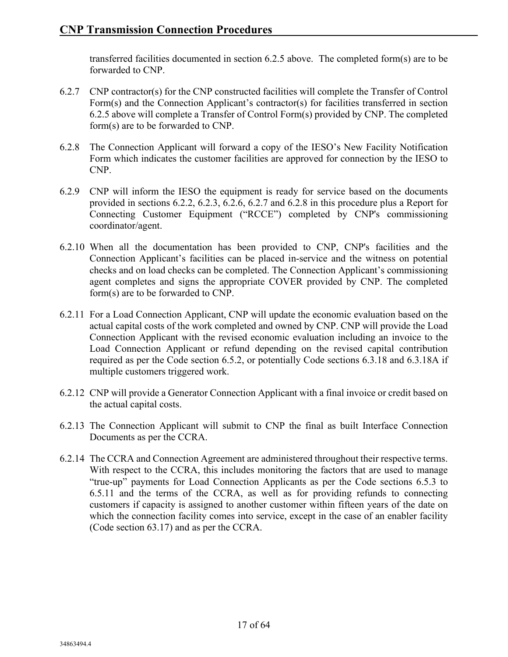transferred facilities documented in section 6.2.5 above. The completed form(s) are to be forwarded to CNP.

- 6.2.7 CNP contractor(s) for the CNP constructed facilities will complete the Transfer of Control Form(s) and the Connection Applicant's contractor(s) for facilities transferred in section 6.2.5 above will complete a Transfer of Control Form(s) provided by CNP. The completed form(s) are to be forwarded to CNP.
- 6.2.8 The Connection Applicant will forward a copy of the IESO's New Facility Notification Form which indicates the customer facilities are approved for connection by the IESO to CNP.
- 6.2.9 CNP will inform the IESO the equipment is ready for service based on the documents provided in sections 6.2.2, 6.2.3, 6.2.6, 6.2.7 and 6.2.8 in this procedure plus a Report for Connecting Customer Equipment ("RCCE") completed by CNP's commissioning coordinator/agent.
- 6.2.10 When all the documentation has been provided to CNP, CNP's facilities and the Connection Applicant's facilities can be placed in-service and the witness on potential checks and on load checks can be completed. The Connection Applicant's commissioning agent completes and signs the appropriate COVER provided by CNP. The completed form(s) are to be forwarded to CNP.
- 6.2.11 For a Load Connection Applicant, CNP will update the economic evaluation based on the actual capital costs of the work completed and owned by CNP. CNP will provide the Load Connection Applicant with the revised economic evaluation including an invoice to the Load Connection Applicant or refund depending on the revised capital contribution required as per the Code section 6.5.2, or potentially Code sections 6.3.18 and 6.3.18A if multiple customers triggered work.
- 6.2.12 CNP will provide a Generator Connection Applicant with a final invoice or credit based on the actual capital costs.
- 6.2.13 The Connection Applicant will submit to CNP the final as built Interface Connection Documents as per the CCRA.
- 6.2.14 The CCRA and Connection Agreement are administered throughout their respective terms. With respect to the CCRA, this includes monitoring the factors that are used to manage "true-up" payments for Load Connection Applicants as per the Code sections 6.5.3 to 6.5.11 and the terms of the CCRA, as well as for providing refunds to connecting customers if capacity is assigned to another customer within fifteen years of the date on which the connection facility comes into service, except in the case of an enabler facility (Code section 63.17) and as per the CCRA.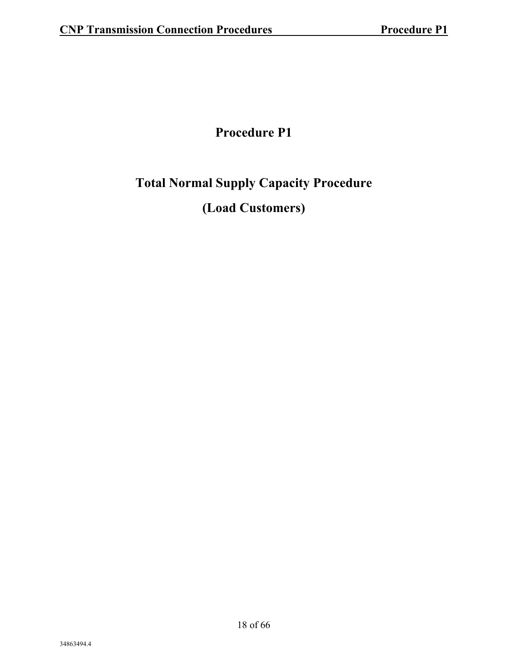### **Procedure P1**

### **Total Normal Supply Capacity Procedure**

### **(Load Customers)**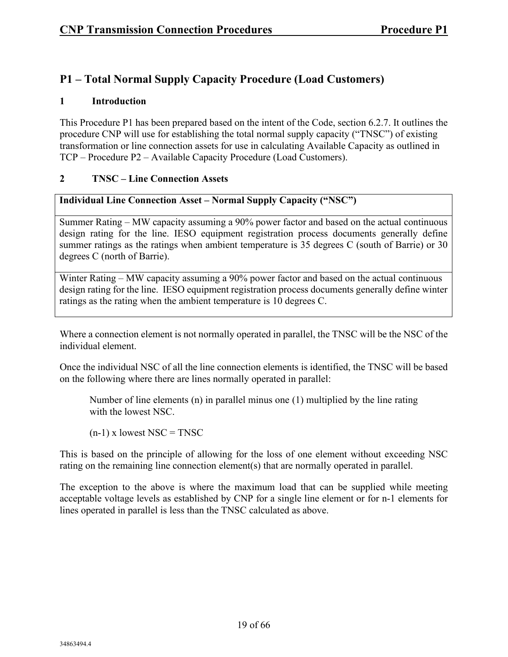#### **P1 – Total Normal Supply Capacity Procedure (Load Customers)**

#### **1 Introduction**

This Procedure P1 has been prepared based on the intent of the Code, section 6.2.7. It outlines the procedure CNP will use for establishing the total normal supply capacity ("TNSC") of existing transformation or line connection assets for use in calculating Available Capacity as outlined in TCP – Procedure P2 – Available Capacity Procedure (Load Customers).

#### **2 TNSC – Line Connection Assets**

#### **Individual Line Connection Asset – Normal Supply Capacity ("NSC")**

Summer Rating – MW capacity assuming a 90% power factor and based on the actual continuous design rating for the line. IESO equipment registration process documents generally define summer ratings as the ratings when ambient temperature is 35 degrees C (south of Barrie) or 30 degrees C (north of Barrie).

Winter Rating – MW capacity assuming a 90% power factor and based on the actual continuous design rating for the line. IESO equipment registration process documents generally define winter ratings as the rating when the ambient temperature is 10 degrees C.

Where a connection element is not normally operated in parallel, the TNSC will be the NSC of the individual element.

Once the individual NSC of all the line connection elements is identified, the TNSC will be based on the following where there are lines normally operated in parallel:

Number of line elements (n) in parallel minus one (1) multiplied by the line rating with the lowest NSC.

 $(n-1)$  x lowest NSC = TNSC

This is based on the principle of allowing for the loss of one element without exceeding NSC rating on the remaining line connection element(s) that are normally operated in parallel.

The exception to the above is where the maximum load that can be supplied while meeting acceptable voltage levels as established by CNP for a single line element or for n-1 elements for lines operated in parallel is less than the TNSC calculated as above.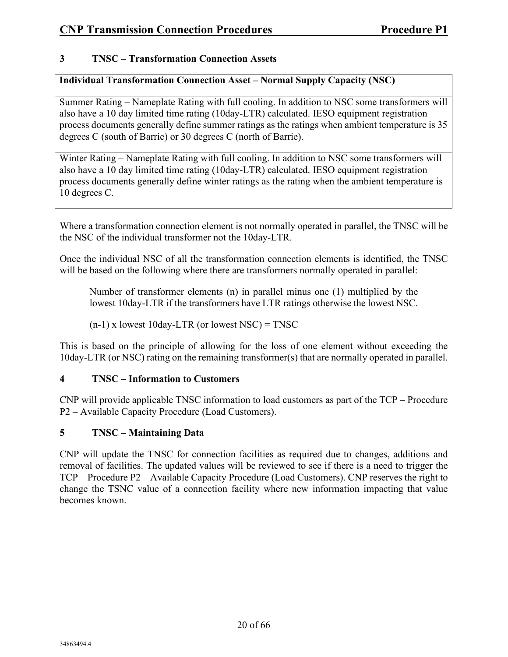#### **3 TNSC – Transformation Connection Assets**

#### **Individual Transformation Connection Asset – Normal Supply Capacity (NSC)**

Summer Rating – Nameplate Rating with full cooling. In addition to NSC some transformers will also have a 10 day limited time rating (10day-LTR) calculated. IESO equipment registration process documents generally define summer ratings as the ratings when ambient temperature is 35 degrees C (south of Barrie) or 30 degrees C (north of Barrie).

Winter Rating – Nameplate Rating with full cooling. In addition to NSC some transformers will also have a 10 day limited time rating (10day-LTR) calculated. IESO equipment registration process documents generally define winter ratings as the rating when the ambient temperature is 10 degrees C.

Where a transformation connection element is not normally operated in parallel, the TNSC will be the NSC of the individual transformer not the 10day-LTR.

Once the individual NSC of all the transformation connection elements is identified, the TNSC will be based on the following where there are transformers normally operated in parallel:

Number of transformer elements (n) in parallel minus one (1) multiplied by the lowest 10day-LTR if the transformers have LTR ratings otherwise the lowest NSC.

 $(n-1)$  x lowest 10day-LTR (or lowest NSC) = TNSC

This is based on the principle of allowing for the loss of one element without exceeding the 10day-LTR (or NSC) rating on the remaining transformer(s) that are normally operated in parallel.

#### **4 TNSC – Information to Customers**

CNP will provide applicable TNSC information to load customers as part of the TCP – Procedure P2 – Available Capacity Procedure (Load Customers).

#### **5 TNSC – Maintaining Data**

CNP will update the TNSC for connection facilities as required due to changes, additions and removal of facilities. The updated values will be reviewed to see if there is a need to trigger the TCP – Procedure P2 – Available Capacity Procedure (Load Customers). CNP reserves the right to change the TSNC value of a connection facility where new information impacting that value becomes known.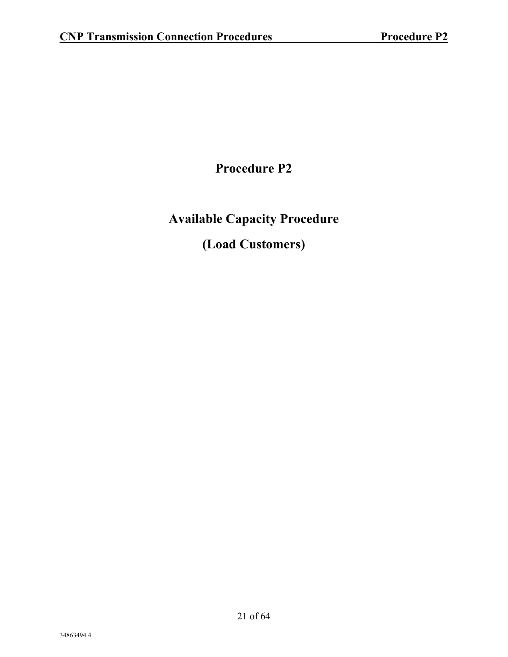**Procedure P2**

**Available Capacity Procedure (Load Customers)**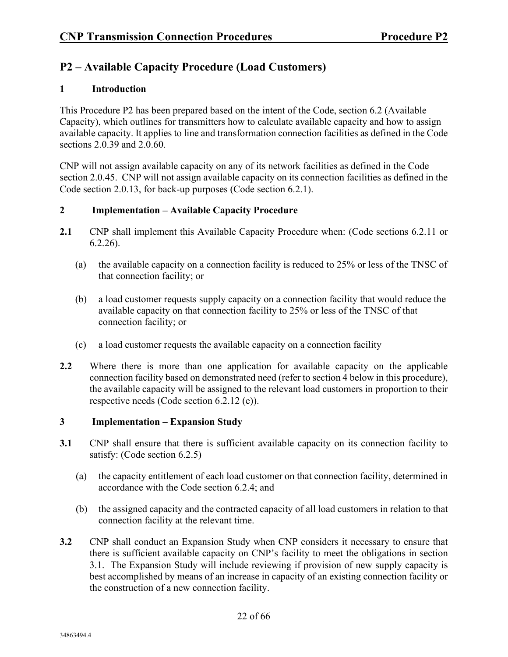#### **P2 – Available Capacity Procedure (Load Customers)**

#### **1 Introduction**

This Procedure P2 has been prepared based on the intent of the Code, section 6.2 (Available Capacity), which outlines for transmitters how to calculate available capacity and how to assign available capacity. It applies to line and transformation connection facilities as defined in the Code sections 2.0.39 and 2.0.60.

CNP will not assign available capacity on any of its network facilities as defined in the Code section 2.0.45. CNP will not assign available capacity on its connection facilities as defined in the Code section 2.0.13, for back-up purposes (Code section 6.2.1).

#### **2 Implementation – Available Capacity Procedure**

- **2.1** CNP shall implement this Available Capacity Procedure when: (Code sections 6.2.11 or 6.2.26).
	- (a) the available capacity on a connection facility is reduced to 25% or less of the TNSC of that connection facility; or
	- (b) a load customer requests supply capacity on a connection facility that would reduce the available capacity on that connection facility to 25% or less of the TNSC of that connection facility; or
	- (c) a load customer requests the available capacity on a connection facility
- **2.2** Where there is more than one application for available capacity on the applicable connection facility based on demonstrated need (refer to section 4 below in this procedure), the available capacity will be assigned to the relevant load customers in proportion to their respective needs (Code section 6.2.12 (e)).

#### **3 Implementation – Expansion Study**

- **3.1** CNP shall ensure that there is sufficient available capacity on its connection facility to satisfy: (Code section 6.2.5)
	- (a) the capacity entitlement of each load customer on that connection facility, determined in accordance with the Code section 6.2.4; and
	- (b) the assigned capacity and the contracted capacity of all load customers in relation to that connection facility at the relevant time.
- **3.2** CNP shall conduct an Expansion Study when CNP considers it necessary to ensure that there is sufficient available capacity on CNP's facility to meet the obligations in section 3.1. The Expansion Study will include reviewing if provision of new supply capacity is best accomplished by means of an increase in capacity of an existing connection facility or the construction of a new connection facility.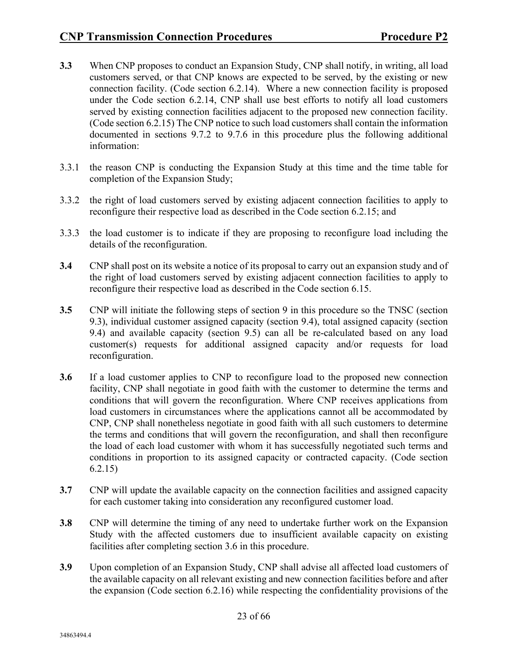- **3.3** When CNP proposes to conduct an Expansion Study, CNP shall notify, in writing, all load customers served, or that CNP knows are expected to be served, by the existing or new connection facility. (Code section 6.2.14). Where a new connection facility is proposed under the Code section 6.2.14, CNP shall use best efforts to notify all load customers served by existing connection facilities adjacent to the proposed new connection facility. (Code section 6.2.15) The CNP notice to such load customers shall contain the information documented in sections 9.7.2 to 9.7.6 in this procedure plus the following additional information:
- 3.3.1 the reason CNP is conducting the Expansion Study at this time and the time table for completion of the Expansion Study;
- 3.3.2 the right of load customers served by existing adjacent connection facilities to apply to reconfigure their respective load as described in the Code section 6.2.15; and
- 3.3.3 the load customer is to indicate if they are proposing to reconfigure load including the details of the reconfiguration.
- **3.4** CNP shall post on its website a notice of its proposal to carry out an expansion study and of the right of load customers served by existing adjacent connection facilities to apply to reconfigure their respective load as described in the Code section 6.15.
- **3.5** CNP will initiate the following steps of section 9 in this procedure so the TNSC (section 9.3), individual customer assigned capacity (section 9.4), total assigned capacity (section 9.4) and available capacity (section 9.5) can all be re-calculated based on any load customer(s) requests for additional assigned capacity and/or requests for load reconfiguration.
- **3.6** If a load customer applies to CNP to reconfigure load to the proposed new connection facility, CNP shall negotiate in good faith with the customer to determine the terms and conditions that will govern the reconfiguration. Where CNP receives applications from load customers in circumstances where the applications cannot all be accommodated by CNP, CNP shall nonetheless negotiate in good faith with all such customers to determine the terms and conditions that will govern the reconfiguration, and shall then reconfigure the load of each load customer with whom it has successfully negotiated such terms and conditions in proportion to its assigned capacity or contracted capacity. (Code section 6.2.15)
- **3.7** CNP will update the available capacity on the connection facilities and assigned capacity for each customer taking into consideration any reconfigured customer load.
- **3.8** CNP will determine the timing of any need to undertake further work on the Expansion Study with the affected customers due to insufficient available capacity on existing facilities after completing section 3.6 in this procedure.
- **3.9** Upon completion of an Expansion Study, CNP shall advise all affected load customers of the available capacity on all relevant existing and new connection facilities before and after the expansion (Code section 6.2.16) while respecting the confidentiality provisions of the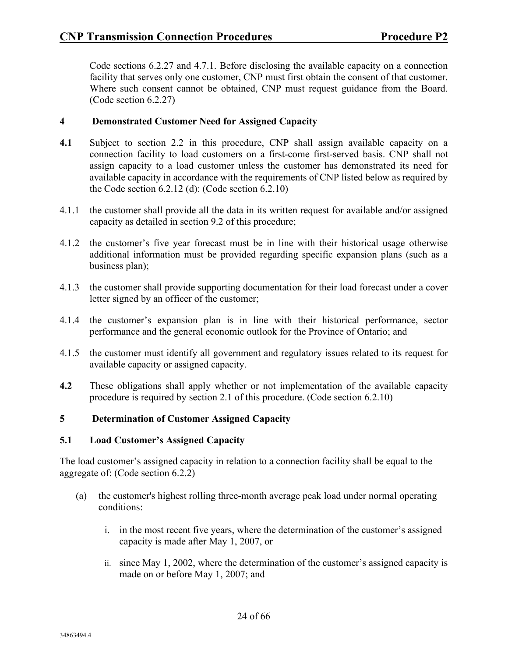Code sections 6.2.27 and 4.7.1. Before disclosing the available capacity on a connection facility that serves only one customer, CNP must first obtain the consent of that customer. Where such consent cannot be obtained, CNP must request guidance from the Board. (Code section 6.2.27)

#### **4 Demonstrated Customer Need for Assigned Capacity**

- **4.1** Subject to section 2.2 in this procedure, CNP shall assign available capacity on a connection facility to load customers on a first-come first-served basis. CNP shall not assign capacity to a load customer unless the customer has demonstrated its need for available capacity in accordance with the requirements of CNP listed below as required by the Code section  $6.2.12$  (d): (Code section  $6.2.10$ )
- 4.1.1 the customer shall provide all the data in its written request for available and/or assigned capacity as detailed in section 9.2 of this procedure;
- 4.1.2 the customer's five year forecast must be in line with their historical usage otherwise additional information must be provided regarding specific expansion plans (such as a business plan);
- 4.1.3 the customer shall provide supporting documentation for their load forecast under a cover letter signed by an officer of the customer;
- 4.1.4 the customer's expansion plan is in line with their historical performance, sector performance and the general economic outlook for the Province of Ontario; and
- 4.1.5 the customer must identify all government and regulatory issues related to its request for available capacity or assigned capacity.
- **4.2** These obligations shall apply whether or not implementation of the available capacity procedure is required by section 2.1 of this procedure. (Code section 6.2.10)

#### **5 Determination of Customer Assigned Capacity**

#### **5.1 Load Customer's Assigned Capacity**

The load customer's assigned capacity in relation to a connection facility shall be equal to the aggregate of: (Code section 6.2.2)

- (a) the customer's highest rolling three-month average peak load under normal operating conditions:
	- i. in the most recent five years, where the determination of the customer's assigned capacity is made after May 1, 2007, or
	- ii. since May 1, 2002, where the determination of the customer's assigned capacity is made on or before May 1, 2007; and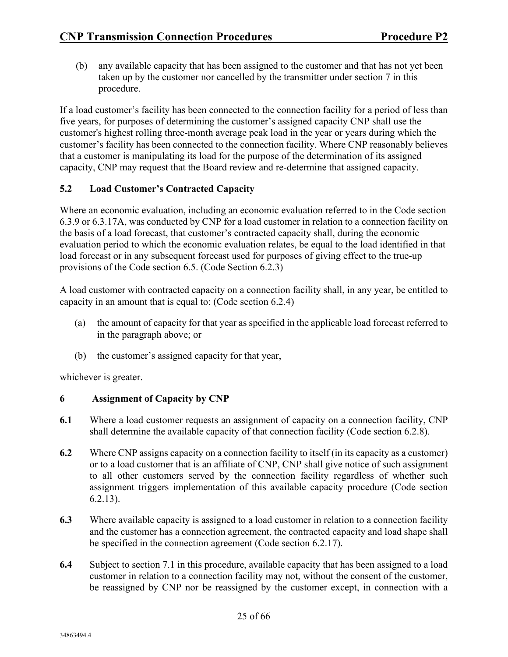(b) any available capacity that has been assigned to the customer and that has not yet been taken up by the customer nor cancelled by the transmitter under section 7 in this procedure.

If a load customer's facility has been connected to the connection facility for a period of less than five years, for purposes of determining the customer's assigned capacity CNP shall use the customer's highest rolling three-month average peak load in the year or years during which the customer's facility has been connected to the connection facility. Where CNP reasonably believes that a customer is manipulating its load for the purpose of the determination of its assigned capacity, CNP may request that the Board review and re-determine that assigned capacity.

#### **5.2 Load Customer's Contracted Capacity**

Where an economic evaluation, including an economic evaluation referred to in the Code section 6.3.9 or 6.3.17A, was conducted by CNP for a load customer in relation to a connection facility on the basis of a load forecast, that customer's contracted capacity shall, during the economic evaluation period to which the economic evaluation relates, be equal to the load identified in that load forecast or in any subsequent forecast used for purposes of giving effect to the true-up provisions of the Code section 6.5. (Code Section 6.2.3)

A load customer with contracted capacity on a connection facility shall, in any year, be entitled to capacity in an amount that is equal to: (Code section 6.2.4)

- (a) the amount of capacity for that year as specified in the applicable load forecast referred to in the paragraph above; or
- (b) the customer's assigned capacity for that year,

whichever is greater.

#### **6 Assignment of Capacity by CNP**

- **6.1** Where a load customer requests an assignment of capacity on a connection facility, CNP shall determine the available capacity of that connection facility (Code section 6.2.8).
- **6.2** Where CNP assigns capacity on a connection facility to itself (in its capacity as a customer) or to a load customer that is an affiliate of CNP, CNP shall give notice of such assignment to all other customers served by the connection facility regardless of whether such assignment triggers implementation of this available capacity procedure (Code section 6.2.13).
- **6.3** Where available capacity is assigned to a load customer in relation to a connection facility and the customer has a connection agreement, the contracted capacity and load shape shall be specified in the connection agreement (Code section 6.2.17).
- **6.4** Subject to section 7.1 in this procedure, available capacity that has been assigned to a load customer in relation to a connection facility may not, without the consent of the customer, be reassigned by CNP nor be reassigned by the customer except, in connection with a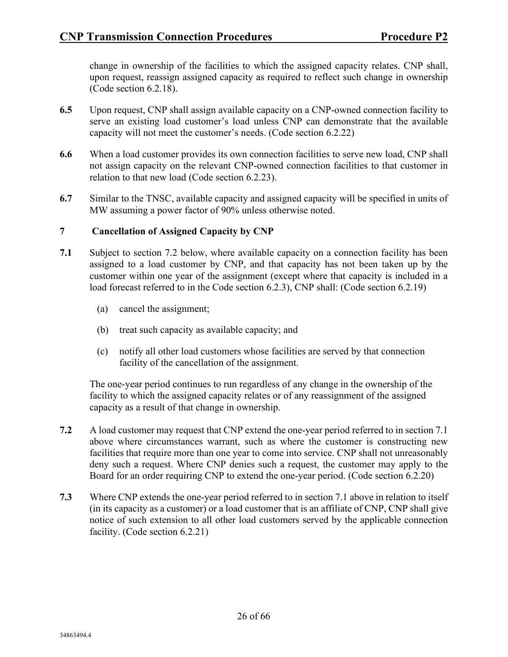change in ownership of the facilities to which the assigned capacity relates. CNP shall, upon request, reassign assigned capacity as required to reflect such change in ownership (Code section 6.2.18).

- **6.5** Upon request, CNP shall assign available capacity on a CNP-owned connection facility to serve an existing load customer's load unless CNP can demonstrate that the available capacity will not meet the customer's needs. (Code section 6.2.22)
- **6.6** When a load customer provides its own connection facilities to serve new load, CNP shall not assign capacity on the relevant CNP-owned connection facilities to that customer in relation to that new load (Code section 6.2.23).
- **6.7** Similar to the TNSC, available capacity and assigned capacity will be specified in units of MW assuming a power factor of 90% unless otherwise noted.

#### **7 Cancellation of Assigned Capacity by CNP**

- **7.1** Subject to section 7.2 below, where available capacity on a connection facility has been assigned to a load customer by CNP, and that capacity has not been taken up by the customer within one year of the assignment (except where that capacity is included in a load forecast referred to in the Code section 6.2.3), CNP shall: (Code section 6.2.19)
	- (a) cancel the assignment;
	- (b) treat such capacity as available capacity; and
	- (c) notify all other load customers whose facilities are served by that connection facility of the cancellation of the assignment.

The one-year period continues to run regardless of any change in the ownership of the facility to which the assigned capacity relates or of any reassignment of the assigned capacity as a result of that change in ownership.

- **7.2** A load customer may request that CNP extend the one-year period referred to in section 7.1 above where circumstances warrant, such as where the customer is constructing new facilities that require more than one year to come into service. CNP shall not unreasonably deny such a request. Where CNP denies such a request, the customer may apply to the Board for an order requiring CNP to extend the one-year period. (Code section 6.2.20)
- **7.3** Where CNP extends the one-year period referred to in section 7.1 above in relation to itself (in its capacity as a customer) or a load customer that is an affiliate of CNP, CNP shall give notice of such extension to all other load customers served by the applicable connection facility. (Code section 6.2.21)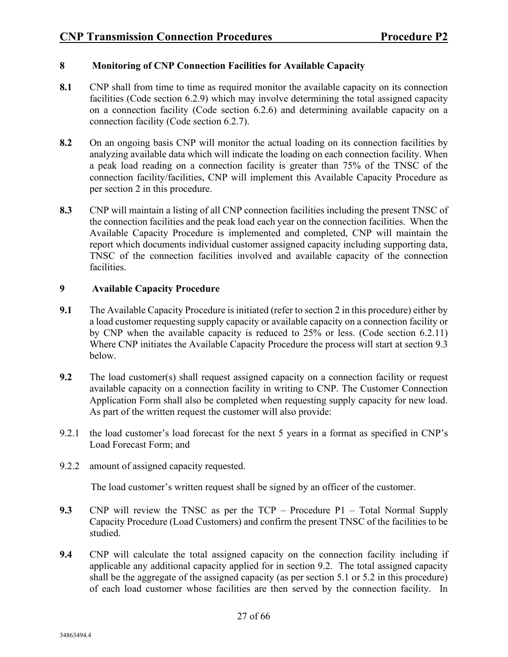#### **8 Monitoring of CNP Connection Facilities for Available Capacity**

- **8.1** CNP shall from time to time as required monitor the available capacity on its connection facilities (Code section 6.2.9) which may involve determining the total assigned capacity on a connection facility (Code section 6.2.6) and determining available capacity on a connection facility (Code section 6.2.7).
- **8.2** On an ongoing basis CNP will monitor the actual loading on its connection facilities by analyzing available data which will indicate the loading on each connection facility. When a peak load reading on a connection facility is greater than 75% of the TNSC of the connection facility/facilities, CNP will implement this Available Capacity Procedure as per section 2 in this procedure.
- **8.3** CNP will maintain a listing of all CNP connection facilities including the present TNSC of the connection facilities and the peak load each year on the connection facilities. When the Available Capacity Procedure is implemented and completed, CNP will maintain the report which documents individual customer assigned capacity including supporting data, TNSC of the connection facilities involved and available capacity of the connection facilities.

#### **9 Available Capacity Procedure**

- **9.1** The Available Capacity Procedure is initiated (refer to section 2 in this procedure) either by a load customer requesting supply capacity or available capacity on a connection facility or by CNP when the available capacity is reduced to 25% or less. (Code section 6.2.11) Where CNP initiates the Available Capacity Procedure the process will start at section 9.3 below.
- **9.2** The load customer(s) shall request assigned capacity on a connection facility or request available capacity on a connection facility in writing to CNP. The Customer Connection Application Form shall also be completed when requesting supply capacity for new load. As part of the written request the customer will also provide:
- 9.2.1 the load customer's load forecast for the next 5 years in a format as specified in CNP's Load Forecast Form; and
- 9.2.2 amount of assigned capacity requested.

The load customer's written request shall be signed by an officer of the customer.

- **9.3** CNP will review the TNSC as per the TCP Procedure P1 Total Normal Supply Capacity Procedure (Load Customers) and confirm the present TNSC of the facilities to be studied.
- **9.4** CNP will calculate the total assigned capacity on the connection facility including if applicable any additional capacity applied for in section 9.2. The total assigned capacity shall be the aggregate of the assigned capacity (as per section 5.1 or 5.2 in this procedure) of each load customer whose facilities are then served by the connection facility. In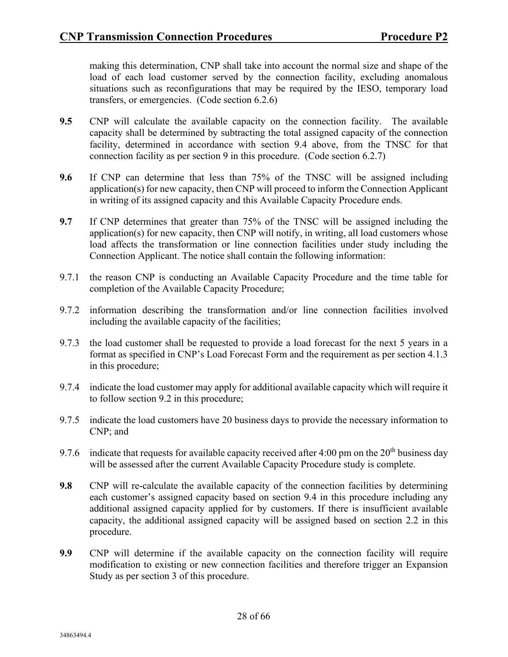making this determination, CNP shall take into account the normal size and shape of the load of each load customer served by the connection facility, excluding anomalous situations such as reconfigurations that may be required by the IESO, temporary load transfers, or emergencies. (Code section 6.2.6)

- **9.5** CNP will calculate the available capacity on the connection facility. The available capacity shall be determined by subtracting the total assigned capacity of the connection facility, determined in accordance with section 9.4 above, from the TNSC for that connection facility as per section 9 in this procedure. (Code section 6.2.7)
- **9.6** If CNP can determine that less than 75% of the TNSC will be assigned including application(s) for new capacity, then CNP will proceed to inform the Connection Applicant in writing of its assigned capacity and this Available Capacity Procedure ends.
- **9.7** If CNP determines that greater than 75% of the TNSC will be assigned including the application(s) for new capacity, then CNP will notify, in writing, all load customers whose load affects the transformation or line connection facilities under study including the Connection Applicant. The notice shall contain the following information:
- 9.7.1 the reason CNP is conducting an Available Capacity Procedure and the time table for completion of the Available Capacity Procedure;
- 9.7.2 information describing the transformation and/or line connection facilities involved including the available capacity of the facilities;
- 9.7.3 the load customer shall be requested to provide a load forecast for the next 5 years in a format as specified in CNP's Load Forecast Form and the requirement as per section 4.1.3 in this procedure;
- 9.7.4 indicate the load customer may apply for additional available capacity which will require it to follow section 9.2 in this procedure;
- 9.7.5 indicate the load customers have 20 business days to provide the necessary information to CNP; and
- 9.7.6 indicate that requests for available capacity received after 4:00 pm on the  $20<sup>th</sup>$  business day will be assessed after the current Available Capacity Procedure study is complete.
- **9.8** CNP will re-calculate the available capacity of the connection facilities by determining each customer's assigned capacity based on section 9.4 in this procedure including any additional assigned capacity applied for by customers. If there is insufficient available capacity, the additional assigned capacity will be assigned based on section 2.2 in this procedure.
- **9.9** CNP will determine if the available capacity on the connection facility will require modification to existing or new connection facilities and therefore trigger an Expansion Study as per section 3 of this procedure.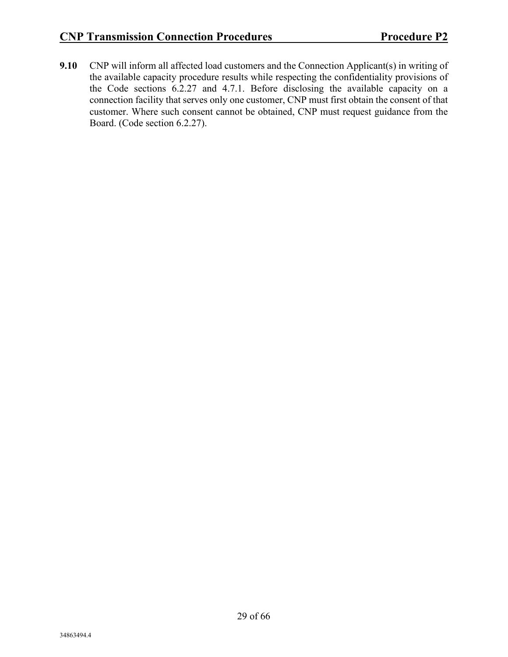**9.10** CNP will inform all affected load customers and the Connection Applicant(s) in writing of the available capacity procedure results while respecting the confidentiality provisions of the Code sections 6.2.27 and 4.7.1. Before disclosing the available capacity on a connection facility that serves only one customer, CNP must first obtain the consent of that customer. Where such consent cannot be obtained, CNP must request guidance from the Board. (Code section 6.2.27).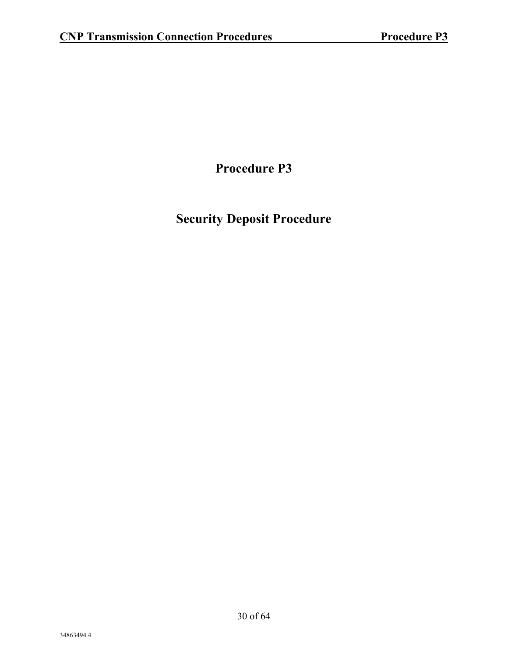**Procedure P3**

### **Security Deposit Procedure**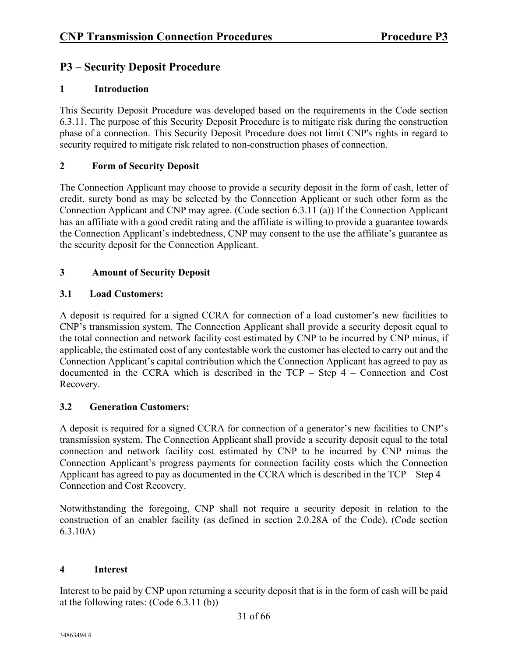#### **P3 – Security Deposit Procedure**

#### **1 Introduction**

This Security Deposit Procedure was developed based on the requirements in the Code section 6.3.11. The purpose of this Security Deposit Procedure is to mitigate risk during the construction phase of a connection. This Security Deposit Procedure does not limit CNP's rights in regard to security required to mitigate risk related to non-construction phases of connection.

#### **2 Form of Security Deposit**

The Connection Applicant may choose to provide a security deposit in the form of cash, letter of credit, surety bond as may be selected by the Connection Applicant or such other form as the Connection Applicant and CNP may agree. (Code section 6.3.11 (a)) If the Connection Applicant has an affiliate with a good credit rating and the affiliate is willing to provide a guarantee towards the Connection Applicant's indebtedness, CNP may consent to the use the affiliate's guarantee as the security deposit for the Connection Applicant.

#### **3 Amount of Security Deposit**

#### **3.1 Load Customers:**

A deposit is required for a signed CCRA for connection of a load customer's new facilities to CNP's transmission system. The Connection Applicant shall provide a security deposit equal to the total connection and network facility cost estimated by CNP to be incurred by CNP minus, if applicable, the estimated cost of any contestable work the customer has elected to carry out and the Connection Applicant's capital contribution which the Connection Applicant has agreed to pay as documented in the CCRA which is described in the TCP – Step 4 – Connection and Cost Recovery.

#### **3.2 Generation Customers:**

A deposit is required for a signed CCRA for connection of a generator's new facilities to CNP's transmission system. The Connection Applicant shall provide a security deposit equal to the total connection and network facility cost estimated by CNP to be incurred by CNP minus the Connection Applicant's progress payments for connection facility costs which the Connection Applicant has agreed to pay as documented in the CCRA which is described in the TCP – Step 4 – Connection and Cost Recovery.

Notwithstanding the foregoing, CNP shall not require a security deposit in relation to the construction of an enabler facility (as defined in section 2.0.28A of the Code). (Code section 6.3.10A)

#### **4 Interest**

Interest to be paid by CNP upon returning a security deposit that is in the form of cash will be paid at the following rates: (Code 6.3.11 (b))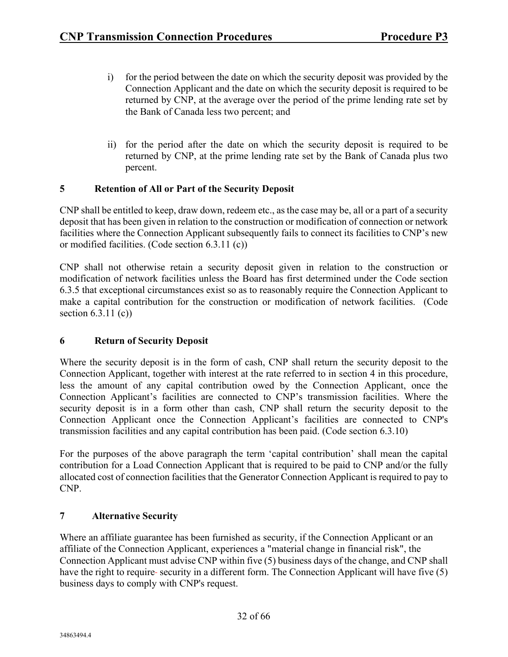- i) for the period between the date on which the security deposit was provided by the Connection Applicant and the date on which the security deposit is required to be returned by CNP, at the average over the period of the prime lending rate set by the Bank of Canada less two percent; and
- ii) for the period after the date on which the security deposit is required to be returned by CNP, at the prime lending rate set by the Bank of Canada plus two percent.

#### **5 Retention of All or Part of the Security Deposit**

CNP shall be entitled to keep, draw down, redeem etc., as the case may be, all or a part of a security deposit that has been given in relation to the construction or modification of connection or network facilities where the Connection Applicant subsequently fails to connect its facilities to CNP's new or modified facilities. (Code section 6.3.11 (c))

CNP shall not otherwise retain a security deposit given in relation to the construction or modification of network facilities unless the Board has first determined under the Code section 6.3.5 that exceptional circumstances exist so as to reasonably require the Connection Applicant to make a capital contribution for the construction or modification of network facilities. (Code section  $6.3.11$  (c))

#### **6 Return of Security Deposit**

Where the security deposit is in the form of cash, CNP shall return the security deposit to the Connection Applicant, together with interest at the rate referred to in section 4 in this procedure, less the amount of any capital contribution owed by the Connection Applicant, once the Connection Applicant's facilities are connected to CNP's transmission facilities. Where the security deposit is in a form other than cash, CNP shall return the security deposit to the Connection Applicant once the Connection Applicant's facilities are connected to CNP's transmission facilities and any capital contribution has been paid. (Code section 6.3.10)

For the purposes of the above paragraph the term 'capital contribution' shall mean the capital contribution for a Load Connection Applicant that is required to be paid to CNP and/or the fully allocated cost of connection facilities that the Generator Connection Applicant is required to pay to CNP.

#### **7 Alternative Security**

Where an affiliate guarantee has been furnished as security, if the Connection Applicant or an affiliate of the Connection Applicant, experiences a "material change in financial risk", the Connection Applicant must advise CNP within five (5) business days of the change, and CNP shall have the right to require-security in a different form. The Connection Applicant will have five (5) business days to comply with CNP's request.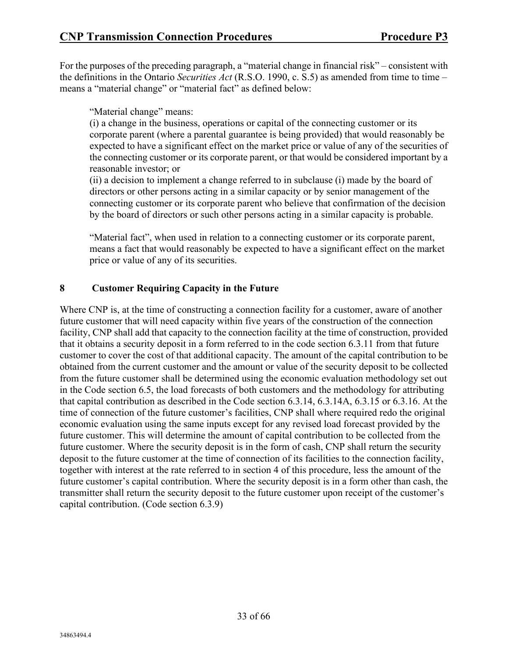For the purposes of the preceding paragraph, a "material change in financial risk" – consistent with the definitions in the Ontario *Securities Act* (R.S.O. 1990, c. S.5) as amended from time to time – means a "material change" or "material fact" as defined below:

"Material change" means:

(i) a change in the business, operations or capital of the connecting customer or its corporate parent (where a parental guarantee is being provided) that would reasonably be expected to have a significant effect on the market price or value of any of the securities of the connecting customer or its corporate parent, or that would be considered important by a reasonable investor; or

(ii) a decision to implement a change referred to in subclause (i) made by the board of directors or other persons acting in a similar capacity or by senior management of the connecting customer or its corporate parent who believe that confirmation of the decision by the board of directors or such other persons acting in a similar capacity is probable.

"Material fact", when used in relation to a connecting customer or its corporate parent, means a fact that would reasonably be expected to have a significant effect on the market price or value of any of its securities.

#### **8 Customer Requiring Capacity in the Future**

Where CNP is, at the time of constructing a connection facility for a customer, aware of another future customer that will need capacity within five years of the construction of the connection facility, CNP shall add that capacity to the connection facility at the time of construction, provided that it obtains a security deposit in a form referred to in the code section 6.3.11 from that future customer to cover the cost of that additional capacity. The amount of the capital contribution to be obtained from the current customer and the amount or value of the security deposit to be collected from the future customer shall be determined using the economic evaluation methodology set out in the Code section 6.5, the load forecasts of both customers and the methodology for attributing that capital contribution as described in the Code section 6.3.14, 6.3.14A, 6.3.15 or 6.3.16. At the time of connection of the future customer's facilities, CNP shall where required redo the original economic evaluation using the same inputs except for any revised load forecast provided by the future customer. This will determine the amount of capital contribution to be collected from the future customer. Where the security deposit is in the form of cash, CNP shall return the security deposit to the future customer at the time of connection of its facilities to the connection facility, together with interest at the rate referred to in section 4 of this procedure, less the amount of the future customer's capital contribution. Where the security deposit is in a form other than cash, the transmitter shall return the security deposit to the future customer upon receipt of the customer's capital contribution. (Code section 6.3.9)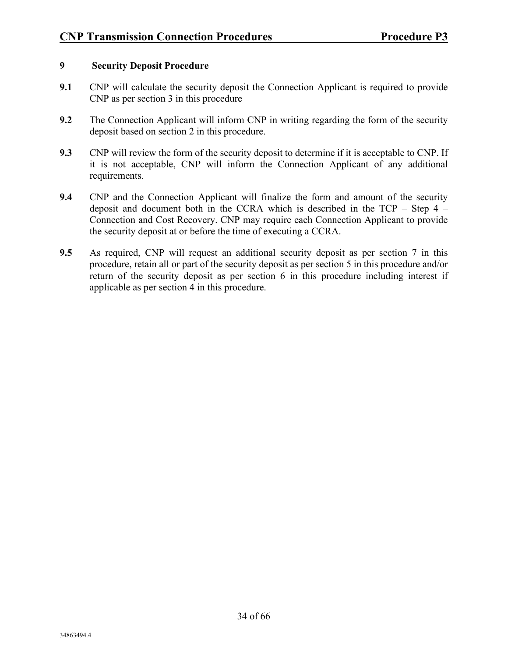#### **9 Security Deposit Procedure**

- **9.1** CNP will calculate the security deposit the Connection Applicant is required to provide CNP as per section 3 in this procedure
- **9.2** The Connection Applicant will inform CNP in writing regarding the form of the security deposit based on section 2 in this procedure.
- **9.3** CNP will review the form of the security deposit to determine if it is acceptable to CNP. If it is not acceptable, CNP will inform the Connection Applicant of any additional requirements.
- **9.4** CNP and the Connection Applicant will finalize the form and amount of the security deposit and document both in the CCRA which is described in the TCP – Step 4 – Connection and Cost Recovery. CNP may require each Connection Applicant to provide the security deposit at or before the time of executing a CCRA.
- **9.5** As required, CNP will request an additional security deposit as per section 7 in this procedure, retain all or part of the security deposit as per section 5 in this procedure and/or return of the security deposit as per section 6 in this procedure including interest if applicable as per section 4 in this procedure.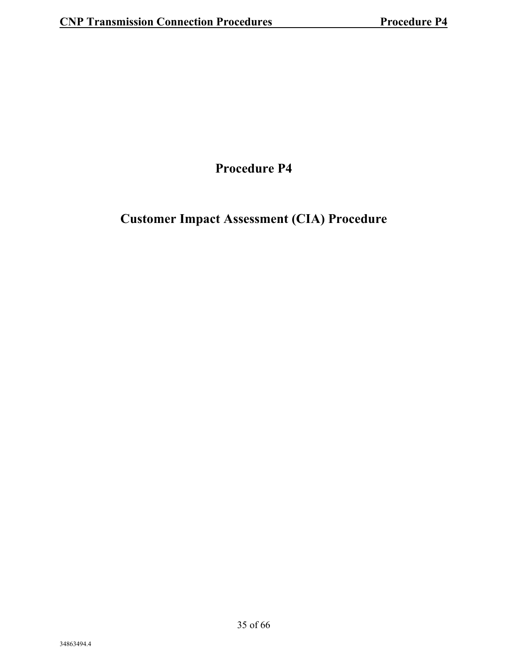### **Procedure P4**

### **Customer Impact Assessment (CIA) Procedure**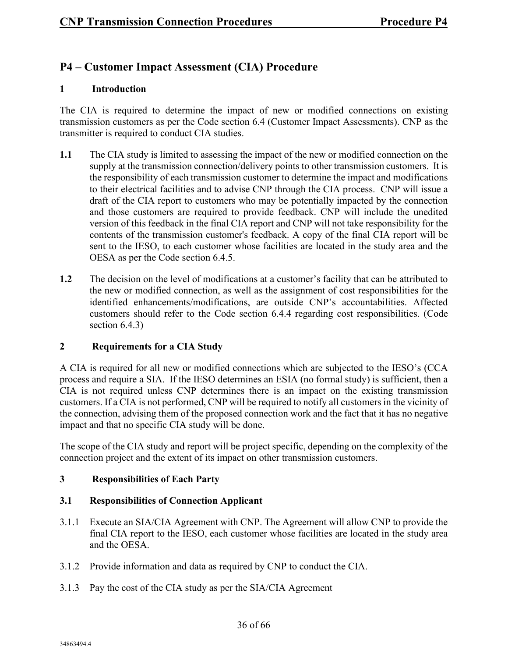#### **P4 – Customer Impact Assessment (CIA) Procedure**

#### **1 Introduction**

The CIA is required to determine the impact of new or modified connections on existing transmission customers as per the Code section 6.4 (Customer Impact Assessments). CNP as the transmitter is required to conduct CIA studies.

- **1.1** The CIA study is limited to assessing the impact of the new or modified connection on the supply at the transmission connection/delivery points to other transmission customers. It is the responsibility of each transmission customer to determine the impact and modifications to their electrical facilities and to advise CNP through the CIA process. CNP will issue a draft of the CIA report to customers who may be potentially impacted by the connection and those customers are required to provide feedback. CNP will include the unedited version of this feedback in the final CIA report and CNP will not take responsibility for the contents of the transmission customer's feedback. A copy of the final CIA report will be sent to the IESO, to each customer whose facilities are located in the study area and the OESA as per the Code section 6.4.5.
- **1.2** The decision on the level of modifications at a customer's facility that can be attributed to the new or modified connection, as well as the assignment of cost responsibilities for the identified enhancements/modifications, are outside CNP's accountabilities. Affected customers should refer to the Code section 6.4.4 regarding cost responsibilities. (Code section 6.4.3)

#### **2 Requirements for a CIA Study**

A CIA is required for all new or modified connections which are subjected to the IESO's (CCA process and require a SIA. If the IESO determines an ESIA (no formal study) is sufficient, then a CIA is not required unless CNP determines there is an impact on the existing transmission customers. If a CIA is not performed, CNP will be required to notify all customers in the vicinity of the connection, advising them of the proposed connection work and the fact that it has no negative impact and that no specific CIA study will be done.

The scope of the CIA study and report will be project specific, depending on the complexity of the connection project and the extent of its impact on other transmission customers.

#### **3 Responsibilities of Each Party**

#### **3.1 Responsibilities of Connection Applicant**

- 3.1.1 Execute an SIA/CIA Agreement with CNP. The Agreement will allow CNP to provide the final CIA report to the IESO, each customer whose facilities are located in the study area and the OESA.
- 3.1.2 Provide information and data as required by CNP to conduct the CIA.
- 3.1.3 Pay the cost of the CIA study as per the SIA/CIA Agreement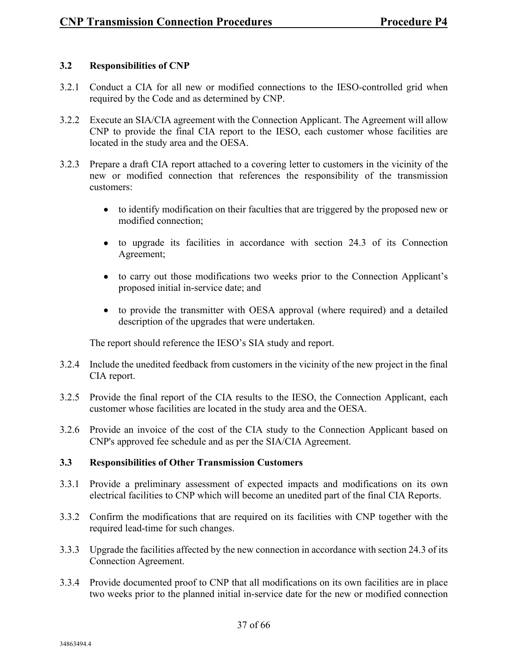#### **3.2 Responsibilities of CNP**

- 3.2.1 Conduct a CIA for all new or modified connections to the IESO-controlled grid when required by the Code and as determined by CNP.
- 3.2.2 Execute an SIA/CIA agreement with the Connection Applicant. The Agreement will allow CNP to provide the final CIA report to the IESO, each customer whose facilities are located in the study area and the OESA.
- 3.2.3 Prepare a draft CIA report attached to a covering letter to customers in the vicinity of the new or modified connection that references the responsibility of the transmission customers:
	- to identify modification on their faculties that are triggered by the proposed new or modified connection;
	- to upgrade its facilities in accordance with section 24.3 of its Connection Agreement;
	- to carry out those modifications two weeks prior to the Connection Applicant's proposed initial in-service date; and
	- to provide the transmitter with OESA approval (where required) and a detailed description of the upgrades that were undertaken.

The report should reference the IESO's SIA study and report.

- 3.2.4 Include the unedited feedback from customers in the vicinity of the new project in the final CIA report.
- 3.2.5 Provide the final report of the CIA results to the IESO, the Connection Applicant, each customer whose facilities are located in the study area and the OESA.
- 3.2.6 Provide an invoice of the cost of the CIA study to the Connection Applicant based on CNP's approved fee schedule and as per the SIA/CIA Agreement.

#### **3.3 Responsibilities of Other Transmission Customers**

- 3.3.1 Provide a preliminary assessment of expected impacts and modifications on its own electrical facilities to CNP which will become an unedited part of the final CIA Reports.
- 3.3.2 Confirm the modifications that are required on its facilities with CNP together with the required lead-time for such changes.
- 3.3.3 Upgrade the facilities affected by the new connection in accordance with section 24.3 of its Connection Agreement.
- 3.3.4 Provide documented proof to CNP that all modifications on its own facilities are in place two weeks prior to the planned initial in-service date for the new or modified connection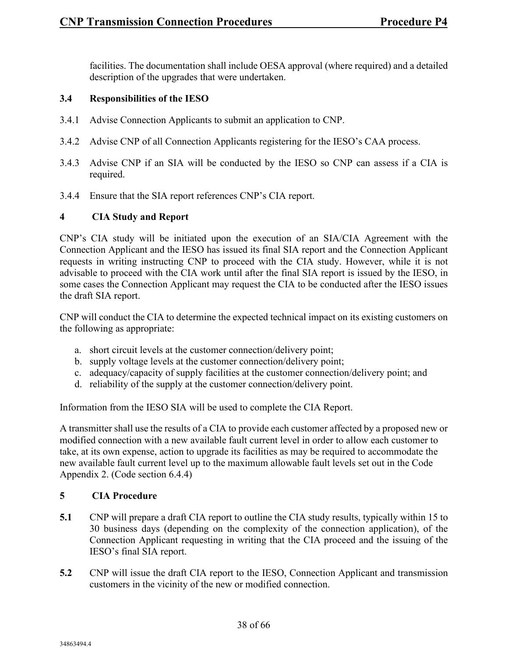facilities. The documentation shall include OESA approval (where required) and a detailed description of the upgrades that were undertaken.

#### **3.4 Responsibilities of the IESO**

- 3.4.1 Advise Connection Applicants to submit an application to CNP.
- 3.4.2 Advise CNP of all Connection Applicants registering for the IESO's CAA process.
- 3.4.3 Advise CNP if an SIA will be conducted by the IESO so CNP can assess if a CIA is required.
- 3.4.4 Ensure that the SIA report references CNP's CIA report.

#### **4 CIA Study and Report**

CNP's CIA study will be initiated upon the execution of an SIA/CIA Agreement with the Connection Applicant and the IESO has issued its final SIA report and the Connection Applicant requests in writing instructing CNP to proceed with the CIA study. However, while it is not advisable to proceed with the CIA work until after the final SIA report is issued by the IESO, in some cases the Connection Applicant may request the CIA to be conducted after the IESO issues the draft SIA report.

CNP will conduct the CIA to determine the expected technical impact on its existing customers on the following as appropriate:

- a. short circuit levels at the customer connection/delivery point;
- b. supply voltage levels at the customer connection/delivery point;
- c. adequacy/capacity of supply facilities at the customer connection/delivery point; and
- d. reliability of the supply at the customer connection/delivery point.

Information from the IESO SIA will be used to complete the CIA Report.

A transmitter shall use the results of a CIA to provide each customer affected by a proposed new or modified connection with a new available fault current level in order to allow each customer to take, at its own expense, action to upgrade its facilities as may be required to accommodate the new available fault current level up to the maximum allowable fault levels set out in the Code Appendix 2. (Code section 6.4.4)

#### **5 CIA Procedure**

- **5.1** CNP will prepare a draft CIA report to outline the CIA study results, typically within 15 to 30 business days (depending on the complexity of the connection application), of the Connection Applicant requesting in writing that the CIA proceed and the issuing of the IESO's final SIA report.
- **5.2** CNP will issue the draft CIA report to the IESO, Connection Applicant and transmission customers in the vicinity of the new or modified connection.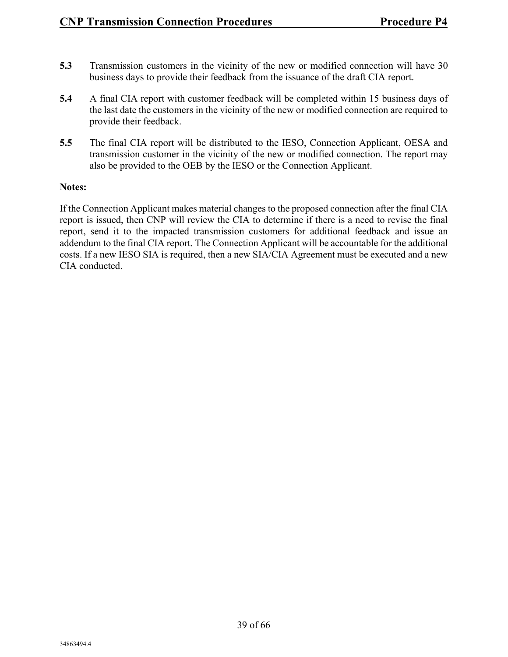- **5.3** Transmission customers in the vicinity of the new or modified connection will have 30 business days to provide their feedback from the issuance of the draft CIA report.
- **5.4** A final CIA report with customer feedback will be completed within 15 business days of the last date the customers in the vicinity of the new or modified connection are required to provide their feedback.
- **5.5** The final CIA report will be distributed to the IESO, Connection Applicant, OESA and transmission customer in the vicinity of the new or modified connection. The report may also be provided to the OEB by the IESO or the Connection Applicant.

#### **Notes:**

If the Connection Applicant makes material changes to the proposed connection after the final CIA report is issued, then CNP will review the CIA to determine if there is a need to revise the final report, send it to the impacted transmission customers for additional feedback and issue an addendum to the final CIA report. The Connection Applicant will be accountable for the additional costs. If a new IESO SIA is required, then a new SIA/CIA Agreement must be executed and a new CIA conducted.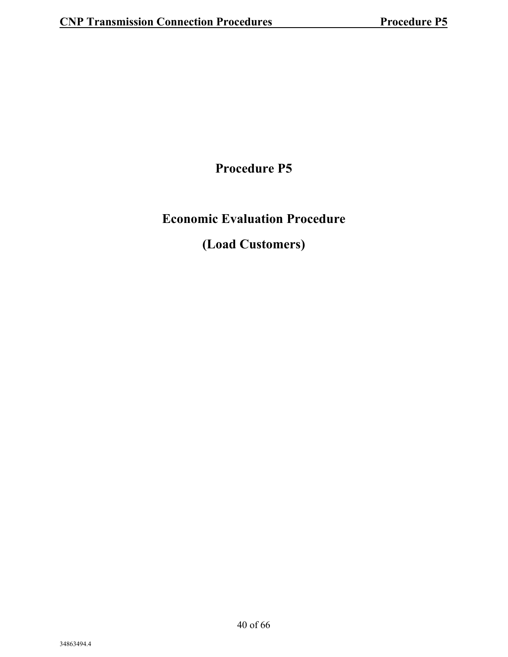**Procedure P5**

## **Economic Evaluation Procedure**

### **(Load Customers)**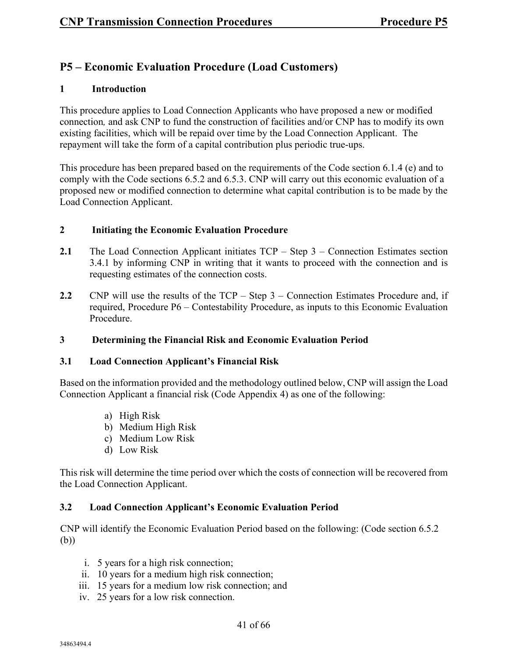#### **P5 – Economic Evaluation Procedure (Load Customers)**

#### **1 Introduction**

This procedure applies to Load Connection Applicants who have proposed a new or modified connection*,* and ask CNP to fund the construction of facilities and/or CNP has to modify its own existing facilities, which will be repaid over time by the Load Connection Applicant. The repayment will take the form of a capital contribution plus periodic true-ups.

This procedure has been prepared based on the requirements of the Code section 6.1.4 (e) and to comply with the Code sections 6.5.2 and 6.5.3. CNP will carry out this economic evaluation of a proposed new or modified connection to determine what capital contribution is to be made by the Load Connection Applicant.

#### **2 Initiating the Economic Evaluation Procedure**

- **2.1** The Load Connection Applicant initiates TCP Step 3 Connection Estimates section 3.4.1 by informing CNP in writing that it wants to proceed with the connection and is requesting estimates of the connection costs.
- **2.2** CNP will use the results of the TCP Step 3 Connection Estimates Procedure and, if required, Procedure P6 – Contestability Procedure, as inputs to this Economic Evaluation Procedure.

#### **3 Determining the Financial Risk and Economic Evaluation Period**

#### **3.1 Load Connection Applicant's Financial Risk**

Based on the information provided and the methodology outlined below, CNP will assign the Load Connection Applicant a financial risk (Code Appendix 4) as one of the following:

- a) High Risk
- b) Medium High Risk
- c) Medium Low Risk
- d) Low Risk

This risk will determine the time period over which the costs of connection will be recovered from the Load Connection Applicant.

#### **3.2 Load Connection Applicant's Economic Evaluation Period**

CNP will identify the Economic Evaluation Period based on the following: (Code section 6.5.2 (b))

- i. 5 years for a high risk connection;
- ii. 10 years for a medium high risk connection;
- iii. 15 years for a medium low risk connection; and
- iv. 25 years for a low risk connection.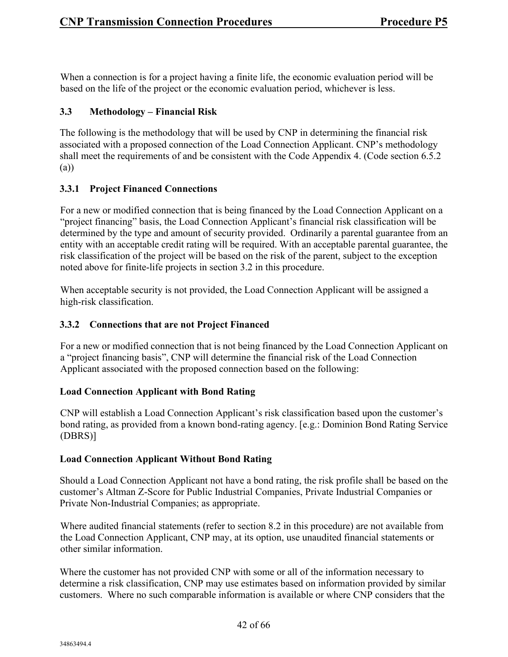When a connection is for a project having a finite life, the economic evaluation period will be based on the life of the project or the economic evaluation period, whichever is less.

#### **3.3 Methodology – Financial Risk**

The following is the methodology that will be used by CNP in determining the financial risk associated with a proposed connection of the Load Connection Applicant. CNP's methodology shall meet the requirements of and be consistent with the Code Appendix 4. (Code section 6.5.2 (a))

#### **3.3.1 Project Financed Connections**

For a new or modified connection that is being financed by the Load Connection Applicant on a "project financing" basis, the Load Connection Applicant's financial risk classification will be determined by the type and amount of security provided. Ordinarily a parental guarantee from an entity with an acceptable credit rating will be required. With an acceptable parental guarantee, the risk classification of the project will be based on the risk of the parent, subject to the exception noted above for finite-life projects in section 3.2 in this procedure.

When acceptable security is not provided, the Load Connection Applicant will be assigned a high-risk classification.

#### **3.3.2 Connections that are not Project Financed**

For a new or modified connection that is not being financed by the Load Connection Applicant on a "project financing basis", CNP will determine the financial risk of the Load Connection Applicant associated with the proposed connection based on the following:

#### **Load Connection Applicant with Bond Rating**

CNP will establish a Load Connection Applicant's risk classification based upon the customer's bond rating, as provided from a known bond-rating agency. [e.g.: Dominion Bond Rating Service (DBRS)]

#### **Load Connection Applicant Without Bond Rating**

Should a Load Connection Applicant not have a bond rating, the risk profile shall be based on the customer's Altman Z-Score for Public Industrial Companies, Private Industrial Companies or Private Non-Industrial Companies; as appropriate.

Where audited financial statements (refer to section 8.2 in this procedure) are not available from the Load Connection Applicant, CNP may, at its option, use unaudited financial statements or other similar information.

Where the customer has not provided CNP with some or all of the information necessary to determine a risk classification, CNP may use estimates based on information provided by similar customers. Where no such comparable information is available or where CNP considers that the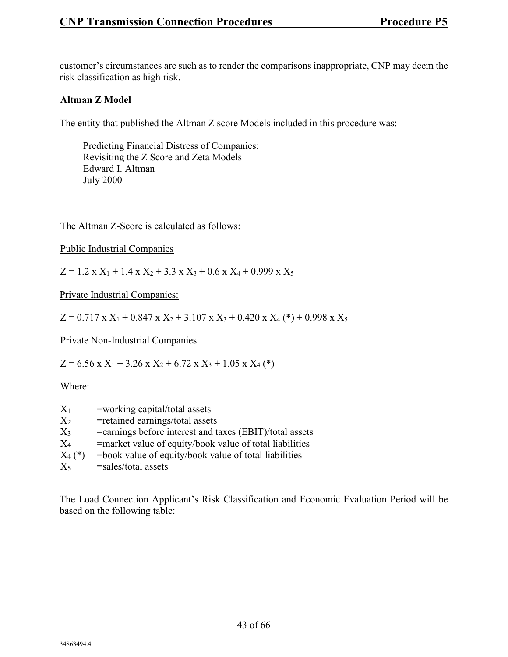customer's circumstances are such as to render the comparisons inappropriate, CNP may deem the risk classification as high risk.

#### **Altman Z Model**

The entity that published the Altman Z score Models included in this procedure was:

Predicting Financial Distress of Companies: Revisiting the Z Score and Zeta Models Edward I. Altman July 2000

The Altman Z-Score is calculated as follows:

Public Industrial Companies

 $Z = 1.2$  x  $X_1 + 1.4$  x  $X_2 + 3.3$  x  $X_3 + 0.6$  x  $X_4 + 0.999$  x  $X_5$ 

Private Industrial Companies:

 $Z = 0.717$  x  $X_1 + 0.847$  x  $X_2 + 3.107$  x  $X_3 + 0.420$  x  $X_4$  (\*) + 0.998 x  $X_5$ 

Private Non-Industrial Companies

 $Z = 6.56$  x  $X_1 + 3.26$  x  $X_2 + 6.72$  x  $X_3 + 1.05$  x  $X_4$  (\*)

Where:

| $X_1$     | =working capital/total assets                            |
|-----------|----------------------------------------------------------|
| $X_2$     | =retained earnings/total assets                          |
| $X_3$     | = earnings before interest and taxes (EBIT)/total assets |
| $X_4$     | =market value of equity/book value of total liabilities  |
| $X_4$ (*) | $=$ book value of equity/book value of total liabilities |
| $X_5$     | =sales/total assets                                      |

The Load Connection Applicant's Risk Classification and Economic Evaluation Period will be based on the following table: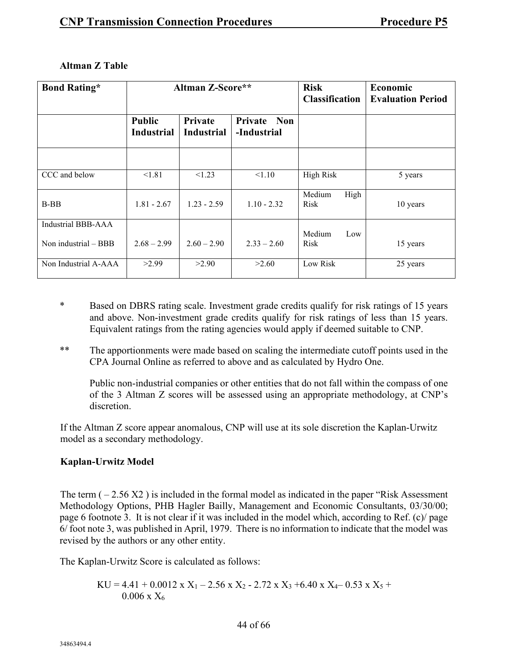| <b>Bond Rating*</b>       | <b>Altman Z-Score**</b>            |                                     | <b>Risk</b><br><b>Classification</b> | Economic<br><b>Evaluation Period</b> |          |
|---------------------------|------------------------------------|-------------------------------------|--------------------------------------|--------------------------------------|----------|
|                           | <b>Public</b><br><b>Industrial</b> | <b>Private</b><br><b>Industrial</b> | Private Non<br>-Industrial           |                                      |          |
|                           |                                    |                                     |                                      |                                      |          |
| CCC and below             | < 1.81                             | < 1.23                              | < 1.10                               | <b>High Risk</b>                     | 5 years  |
| $B-BB$                    | $1.81 - 2.67$                      | $1.23 - 2.59$                       | $1.10 - 2.32$                        | High<br>Medium<br>Risk               | 10 years |
| <b>Industrial BBB-AAA</b> |                                    |                                     |                                      | Medium<br>Low                        |          |
| Non industrial - BBB      | $2.68 - 2.99$                      | $2.60 - 2.90$                       | $2.33 - 2.60$                        | Risk                                 | 15 years |
| Non Industrial A-AAA      | >2.99                              | >2.90                               | >2.60                                | Low Risk                             | 25 years |

#### **Altman Z Table**

- \* Based on DBRS rating scale. Investment grade credits qualify for risk ratings of 15 years and above. Non-investment grade credits qualify for risk ratings of less than 15 years. Equivalent ratings from the rating agencies would apply if deemed suitable to CNP.
- \*\* The apportionments were made based on scaling the intermediate cutoff points used in the CPA Journal Online as referred to above and as calculated by Hydro One.

Public non-industrial companies or other entities that do not fall within the compass of one of the 3 Altman Z scores will be assessed using an appropriate methodology, at CNP's discretion.

If the Altman Z score appear anomalous, CNP will use at its sole discretion the Kaplan-Urwitz model as a secondary methodology.

#### **Kaplan-Urwitz Model**

The term  $(-2.56 \text{ X}2)$  is included in the formal model as indicated in the paper "Risk Assessment" Methodology Options, PHB Hagler Bailly, Management and Economic Consultants, 03/30/00; page 6 footnote 3. It is not clear if it was included in the model which, according to Ref. (c)/ page 6/ foot note 3, was published in April, 1979. There is no information to indicate that the model was revised by the authors or any other entity.

The Kaplan-Urwitz Score is calculated as follows:

$$
KU = 4.41 + 0.0012 \text{ x } X_1 - 2.56 \text{ x } X_2 - 2.72 \text{ x } X_3 + 6.40 \text{ x } X_4 - 0.53 \text{ x } X_5 + 0.006 \text{ x } X_6
$$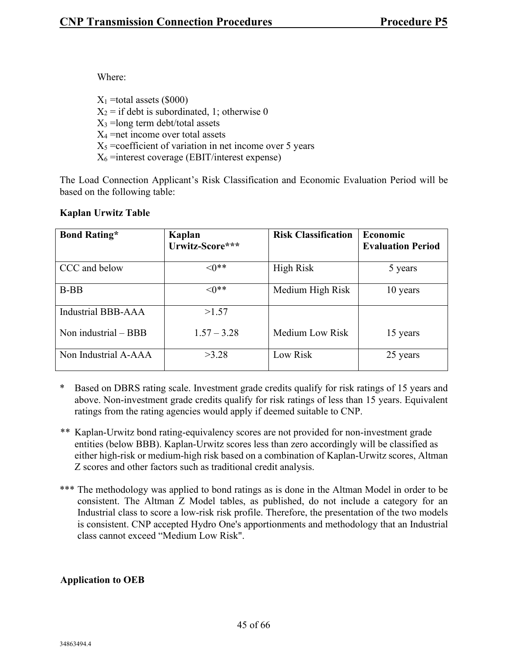Where:

 $X_1$  =total assets (\$000)  $X_2$  = if debt is subordinated, 1; otherwise 0  $X_3$  =long term debt/total assets  $X_4$  =net income over total assets  $X_5$  =coefficient of variation in net income over 5 years  $X_6$  =interest coverage (EBIT/interest expense)

The Load Connection Applicant's Risk Classification and Economic Evaluation Period will be based on the following table:

#### **Kaplan Urwitz Table**

| <b>Bond Rating*</b>    | Kaplan          | <b>Risk Classification</b> | Economic                 |
|------------------------|-----------------|----------------------------|--------------------------|
|                        | Urwitz-Score*** |                            | <b>Evaluation Period</b> |
| CCC and below          | $\leq 0$ **     | <b>High Risk</b>           | 5 years                  |
| $B-BB$                 | $\leq 0$ **     | Medium High Risk           | 10 years                 |
| Industrial BBB-AAA     | >1.57           |                            |                          |
| Non industrial $-$ BBB | $1.57 - 3.28$   | Medium Low Risk            | 15 years                 |
| Non Industrial A-AAA   | >3.28           | Low Risk                   | 25 years                 |

- \* Based on DBRS rating scale. Investment grade credits qualify for risk ratings of 15 years and above. Non-investment grade credits qualify for risk ratings of less than 15 years. Equivalent ratings from the rating agencies would apply if deemed suitable to CNP.
- \*\* Kaplan-Urwitz bond rating-equivalency scores are not provided for non-investment grade entities (below BBB). Kaplan-Urwitz scores less than zero accordingly will be classified as either high-risk or medium-high risk based on a combination of Kaplan-Urwitz scores, Altman Z scores and other factors such as traditional credit analysis.
- \*\*\* The methodology was applied to bond ratings as is done in the Altman Model in order to be consistent. The Altman Z Model tables, as published, do not include a category for an Industrial class to score a low-risk risk profile. Therefore, the presentation of the two models is consistent. CNP accepted Hydro One's apportionments and methodology that an Industrial class cannot exceed "Medium Low Risk".

#### **Application to OEB**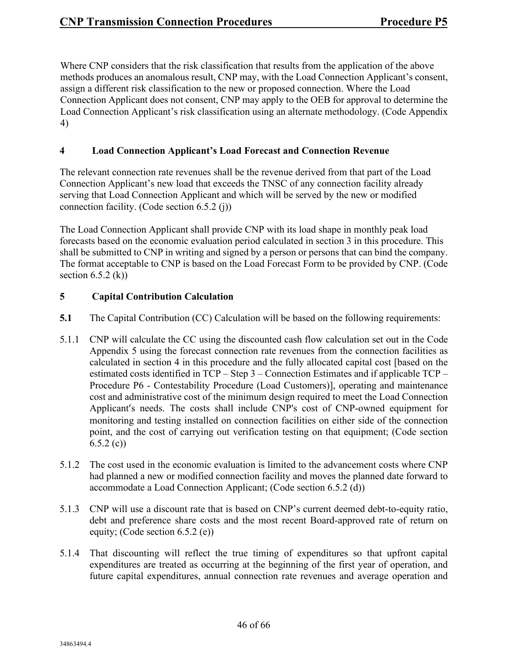Where CNP considers that the risk classification that results from the application of the above methods produces an anomalous result, CNP may, with the Load Connection Applicant's consent, assign a different risk classification to the new or proposed connection. Where the Load Connection Applicant does not consent, CNP may apply to the OEB for approval to determine the Load Connection Applicant's risk classification using an alternate methodology. (Code Appendix 4)

#### **4 Load Connection Applicant's Load Forecast and Connection Revenue**

The relevant connection rate revenues shall be the revenue derived from that part of the Load Connection Applicant's new load that exceeds the TNSC of any connection facility already serving that Load Connection Applicant and which will be served by the new or modified connection facility. (Code section 6.5.2 (j))

The Load Connection Applicant shall provide CNP with its load shape in monthly peak load forecasts based on the economic evaluation period calculated in section 3 in this procedure. This shall be submitted to CNP in writing and signed by a person or persons that can bind the company. The format acceptable to CNP is based on the Load Forecast Form to be provided by CNP. (Code section  $6.5.2$  (k))

#### **5 Capital Contribution Calculation**

- **5.1** The Capital Contribution (CC) Calculation will be based on the following requirements:
- 5.1.1 CNP will calculate the CC using the discounted cash flow calculation set out in the Code Appendix 5 using the forecast connection rate revenues from the connection facilities as calculated in section 4 in this procedure and the fully allocated capital cost [based on the estimated costs identified in TCP – Step 3 – Connection Estimates and if applicable TCP – Procedure P6 - Contestability Procedure (Load Customers)], operating and maintenance cost and administrative cost of the minimum design required to meet the Load Connection Applicant's needs. The costs shall include CNP's cost of CNP-owned equipment for monitoring and testing installed on connection facilities on either side of the connection point, and the cost of carrying out verification testing on that equipment; (Code section  $6.5.2$  (c))
- 5.1.2 The cost used in the economic evaluation is limited to the advancement costs where CNP had planned a new or modified connection facility and moves the planned date forward to accommodate a Load Connection Applicant; (Code section 6.5.2 (d))
- 5.1.3 CNP will use a discount rate that is based on CNP's current deemed debt-to-equity ratio, debt and preference share costs and the most recent Board-approved rate of return on equity; (Code section 6.5.2 (e))
- 5.1.4 That discounting will reflect the true timing of expenditures so that upfront capital expenditures are treated as occurring at the beginning of the first year of operation, and future capital expenditures, annual connection rate revenues and average operation and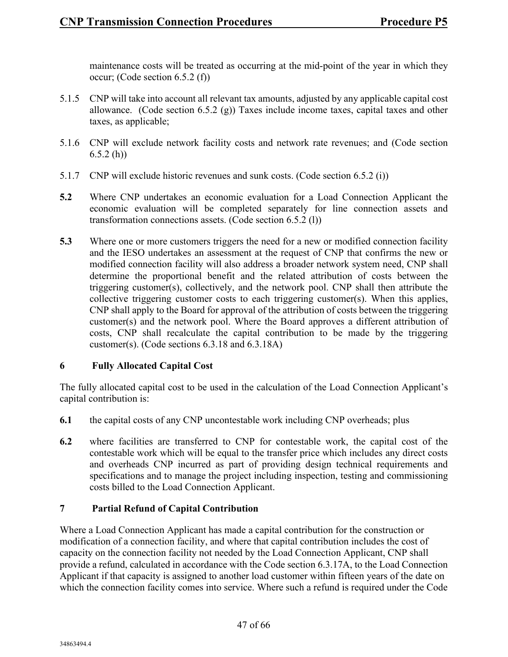maintenance costs will be treated as occurring at the mid-point of the year in which they occur; (Code section 6.5.2 (f))

- 5.1.5 CNP will take into account all relevant tax amounts, adjusted by any applicable capital cost allowance. (Code section 6.5.2  $(g)$ ) Taxes include income taxes, capital taxes and other taxes, as applicable;
- 5.1.6 CNP will exclude network facility costs and network rate revenues; and (Code section  $6.5.2$  (h))
- 5.1.7 CNP will exclude historic revenues and sunk costs. (Code section 6.5.2 (i))
- **5.2** Where CNP undertakes an economic evaluation for a Load Connection Applicant the economic evaluation will be completed separately for line connection assets and transformation connections assets. (Code section 6.5.2 (l))
- **5.3** Where one or more customers triggers the need for a new or modified connection facility and the IESO undertakes an assessment at the request of CNP that confirms the new or modified connection facility will also address a broader network system need, CNP shall determine the proportional benefit and the related attribution of costs between the triggering customer(s), collectively, and the network pool. CNP shall then attribute the collective triggering customer costs to each triggering customer(s). When this applies, CNP shall apply to the Board for approval of the attribution of costs between the triggering customer(s) and the network pool. Where the Board approves a different attribution of costs, CNP shall recalculate the capital contribution to be made by the triggering customer(s). (Code sections 6.3.18 and 6.3.18A)

#### **6 Fully Allocated Capital Cost**

The fully allocated capital cost to be used in the calculation of the Load Connection Applicant's capital contribution is:

- **6.1** the capital costs of any CNP uncontestable work including CNP overheads; plus
- **6.2** where facilities are transferred to CNP for contestable work, the capital cost of the contestable work which will be equal to the transfer price which includes any direct costs and overheads CNP incurred as part of providing design technical requirements and specifications and to manage the project including inspection, testing and commissioning costs billed to the Load Connection Applicant.

#### **7 Partial Refund of Capital Contribution**

Where a Load Connection Applicant has made a capital contribution for the construction or modification of a connection facility, and where that capital contribution includes the cost of capacity on the connection facility not needed by the Load Connection Applicant, CNP shall provide a refund, calculated in accordance with the Code section 6.3.17A, to the Load Connection Applicant if that capacity is assigned to another load customer within fifteen years of the date on which the connection facility comes into service. Where such a refund is required under the Code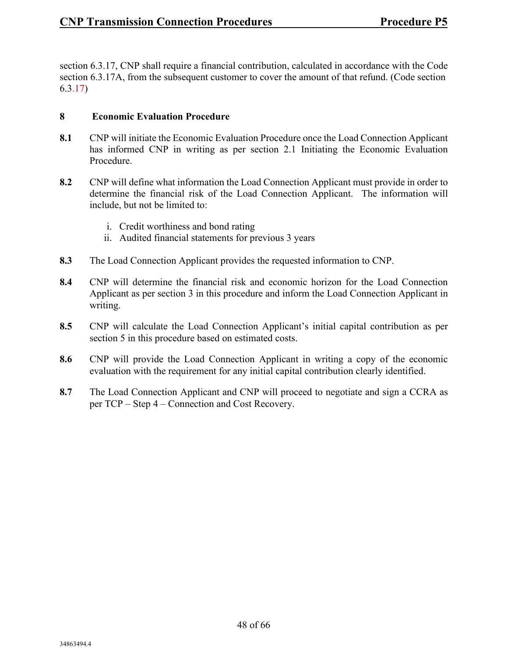section 6.3.17, CNP shall require a financial contribution, calculated in accordance with the Code section 6.3.17A, from the subsequent customer to cover the amount of that refund. (Code section 6.3.17)

#### **8 Economic Evaluation Procedure**

- **8.1** CNP will initiate the Economic Evaluation Procedure once the Load Connection Applicant has informed CNP in writing as per section 2.1 Initiating the Economic Evaluation Procedure.
- **8.2** CNP will define what information the Load Connection Applicant must provide in order to determine the financial risk of the Load Connection Applicant. The information will include, but not be limited to:
	- i. Credit worthiness and bond rating
	- ii. Audited financial statements for previous 3 years
- **8.3** The Load Connection Applicant provides the requested information to CNP.
- **8.4** CNP will determine the financial risk and economic horizon for the Load Connection Applicant as per section 3 in this procedure and inform the Load Connection Applicant in writing.
- **8.5** CNP will calculate the Load Connection Applicant's initial capital contribution as per section 5 in this procedure based on estimated costs.
- **8.6** CNP will provide the Load Connection Applicant in writing a copy of the economic evaluation with the requirement for any initial capital contribution clearly identified.
- **8.7** The Load Connection Applicant and CNP will proceed to negotiate and sign a CCRA as per TCP – Step 4 – Connection and Cost Recovery.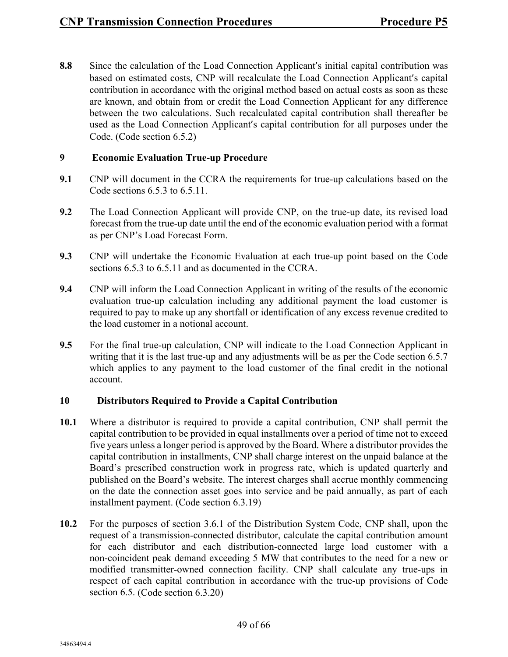**8.8** Since the calculation of the Load Connection Applicant's initial capital contribution was based on estimated costs, CNP will recalculate the Load Connection Applicant's capital contribution in accordance with the original method based on actual costs as soon as these are known, and obtain from or credit the Load Connection Applicant for any difference between the two calculations. Such recalculated capital contribution shall thereafter be used as the Load Connection Applicant's capital contribution for all purposes under the Code. (Code section 6.5.2)

#### **9 Economic Evaluation True-up Procedure**

- **9.1** CNP will document in the CCRA the requirements for true-up calculations based on the Code sections 6.5.3 to 6.5.11.
- **9.2** The Load Connection Applicant will provide CNP, on the true-up date, its revised load forecast from the true-up date until the end of the economic evaluation period with a format as per CNP's Load Forecast Form.
- **9.3** CNP will undertake the Economic Evaluation at each true-up point based on the Code sections 6.5.3 to 6.5.11 and as documented in the CCRA.
- **9.4** CNP will inform the Load Connection Applicant in writing of the results of the economic evaluation true-up calculation including any additional payment the load customer is required to pay to make up any shortfall or identification of any excess revenue credited to the load customer in a notional account.
- **9.5** For the final true-up calculation, CNP will indicate to the Load Connection Applicant in writing that it is the last true-up and any adjustments will be as per the Code section 6.5.7 which applies to any payment to the load customer of the final credit in the notional account.

#### **10 Distributors Required to Provide a Capital Contribution**

- **10.1** Where a distributor is required to provide a capital contribution, CNP shall permit the capital contribution to be provided in equal installments over a period of time not to exceed five years unless a longer period is approved by the Board. Where a distributor provides the capital contribution in installments, CNP shall charge interest on the unpaid balance at the Board's prescribed construction work in progress rate, which is updated quarterly and published on the Board's website. The interest charges shall accrue monthly commencing on the date the connection asset goes into service and be paid annually, as part of each installment payment. (Code section 6.3.19)
- **10.2** For the purposes of section 3.6.1 of the Distribution System Code, CNP shall, upon the request of a transmission-connected distributor, calculate the capital contribution amount for each distributor and each distribution-connected large load customer with a non-coincident peak demand exceeding 5 MW that contributes to the need for a new or modified transmitter-owned connection facility. CNP shall calculate any true-ups in respect of each capital contribution in accordance with the true-up provisions of Code section 6.5. (Code section 6.3.20)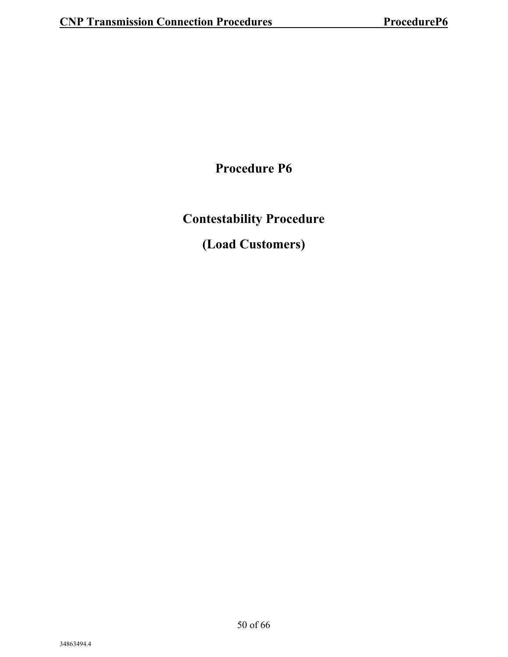**Procedure P6**

**Contestability Procedure** 

**(Load Customers)**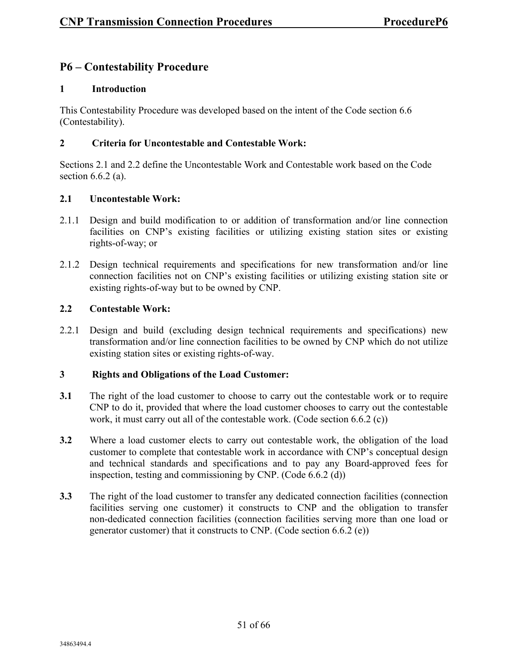#### **P6 – Contestability Procedure**

#### **1 Introduction**

This Contestability Procedure was developed based on the intent of the Code section 6.6 (Contestability).

#### **2 Criteria for Uncontestable and Contestable Work:**

Sections 2.1 and 2.2 define the Uncontestable Work and Contestable work based on the Code section 6.6.2 (a).

#### **2.1 Uncontestable Work:**

- 2.1.1 Design and build modification to or addition of transformation and/or line connection facilities on CNP's existing facilities or utilizing existing station sites or existing rights-of-way; or
- 2.1.2 Design technical requirements and specifications for new transformation and/or line connection facilities not on CNP's existing facilities or utilizing existing station site or existing rights-of-way but to be owned by CNP.

#### **2.2 Contestable Work:**

2.2.1 Design and build (excluding design technical requirements and specifications) new transformation and/or line connection facilities to be owned by CNP which do not utilize existing station sites or existing rights-of-way.

#### **3 Rights and Obligations of the Load Customer:**

- **3.1** The right of the load customer to choose to carry out the contestable work or to require CNP to do it, provided that where the load customer chooses to carry out the contestable work, it must carry out all of the contestable work. (Code section 6.6.2 (c))
- **3.2** Where a load customer elects to carry out contestable work, the obligation of the load customer to complete that contestable work in accordance with CNP's conceptual design and technical standards and specifications and to pay any Board-approved fees for inspection, testing and commissioning by CNP. (Code 6.6.2 (d))
- **3.3** The right of the load customer to transfer any dedicated connection facilities (connection facilities serving one customer) it constructs to CNP and the obligation to transfer non-dedicated connection facilities (connection facilities serving more than one load or generator customer) that it constructs to CNP. (Code section 6.6.2 (e))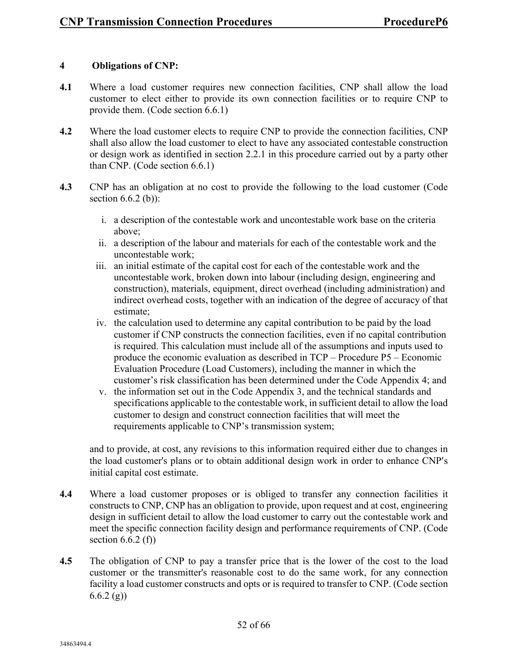#### **4 Obligations of CNP:**

- **4.1** Where a load customer requires new connection facilities, CNP shall allow the load customer to elect either to provide its own connection facilities or to require CNP to provide them. (Code section 6.6.1)
- **4.2** Where the load customer elects to require CNP to provide the connection facilities, CNP shall also allow the load customer to elect to have any associated contestable construction or design work as identified in section 2.2.1 in this procedure carried out by a party other than CNP. (Code section 6.6.1)
- **4.3** CNP has an obligation at no cost to provide the following to the load customer (Code section  $6.6.2$  (b)):
	- i. a description of the contestable work and uncontestable work base on the criteria above;
	- ii. a description of the labour and materials for each of the contestable work and the uncontestable work;
	- iii. an initial estimate of the capital cost for each of the contestable work and the uncontestable work, broken down into labour (including design, engineering and construction), materials, equipment, direct overhead (including administration) and indirect overhead costs, together with an indication of the degree of accuracy of that estimate;
	- iv. the calculation used to determine any capital contribution to be paid by the load customer if CNP constructs the connection facilities, even if no capital contribution is required. This calculation must include all of the assumptions and inputs used to produce the economic evaluation as described in TCP – Procedure P5 – Economic Evaluation Procedure (Load Customers), including the manner in which the customer's risk classification has been determined under the Code Appendix 4; and
	- v. the information set out in the Code Appendix 3, and the technical standards and specifications applicable to the contestable work, in sufficient detail to allow the load customer to design and construct connection facilities that will meet the requirements applicable to CNP's transmission system;

and to provide, at cost, any revisions to this information required either due to changes in the load customer's plans or to obtain additional design work in order to enhance CNP's initial capital cost estimate.

- **4.4** Where a load customer proposes or is obliged to transfer any connection facilities it constructs to CNP, CNP has an obligation to provide, upon request and at cost, engineering design in sufficient detail to allow the load customer to carry out the contestable work and meet the specific connection facility design and performance requirements of CNP. (Code section  $6.6.2$  (f))
- **4.5** The obligation of CNP to pay a transfer price that is the lower of the cost to the load customer or the transmitter's reasonable cost to do the same work, for any connection facility a load customer constructs and opts or is required to transfer to CNP. (Code section  $6.6.2$  (g))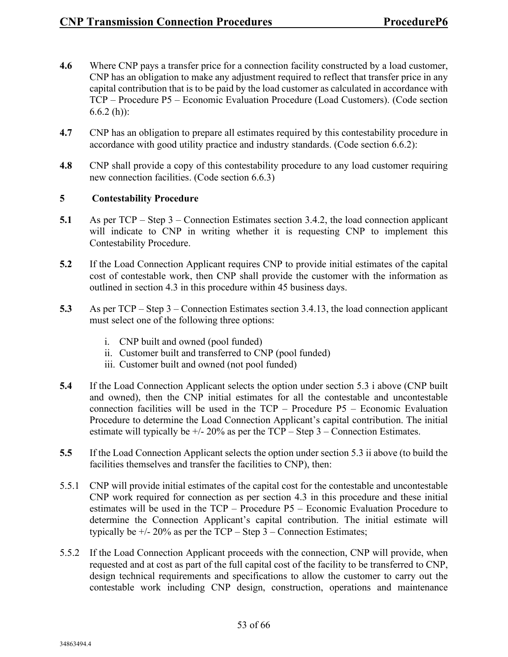- **4.6** Where CNP pays a transfer price for a connection facility constructed by a load customer, CNP has an obligation to make any adjustment required to reflect that transfer price in any capital contribution that is to be paid by the load customer as calculated in accordance with TCP – Procedure P5 – Economic Evaluation Procedure (Load Customers). (Code section  $6.6.2$  (h)):
- **4.7** CNP has an obligation to prepare all estimates required by this contestability procedure in accordance with good utility practice and industry standards. (Code section 6.6.2):
- **4.8** CNP shall provide a copy of this contestability procedure to any load customer requiring new connection facilities. (Code section 6.6.3)

#### **5 Contestability Procedure**

- **5.1** As per TCP Step 3 Connection Estimates section 3.4.2, the load connection applicant will indicate to CNP in writing whether it is requesting CNP to implement this Contestability Procedure.
- **5.2** If the Load Connection Applicant requires CNP to provide initial estimates of the capital cost of contestable work, then CNP shall provide the customer with the information as outlined in section 4.3 in this procedure within 45 business days.
- **5.3** As per TCP Step 3 Connection Estimates section 3.4.13, the load connection applicant must select one of the following three options:
	- i. CNP built and owned (pool funded)
	- ii. Customer built and transferred to CNP (pool funded)
	- iii. Customer built and owned (not pool funded)
- **5.4** If the Load Connection Applicant selects the option under section 5.3 i above (CNP built and owned), then the CNP initial estimates for all the contestable and uncontestable connection facilities will be used in the TCP – Procedure P5 – Economic Evaluation Procedure to determine the Load Connection Applicant's capital contribution. The initial estimate will typically be  $+/- 20\%$  as per the TCP – Step 3 – Connection Estimates.
- **5.5** If the Load Connection Applicant selects the option under section 5.3 ii above (to build the facilities themselves and transfer the facilities to CNP), then:
- 5.5.1 CNP will provide initial estimates of the capital cost for the contestable and uncontestable CNP work required for connection as per section 4.3 in this procedure and these initial estimates will be used in the TCP – Procedure P5 – Economic Evaluation Procedure to determine the Connection Applicant's capital contribution. The initial estimate will typically be  $+/- 20\%$  as per the TCP – Step 3 – Connection Estimates;
- 5.5.2 If the Load Connection Applicant proceeds with the connection, CNP will provide, when requested and at cost as part of the full capital cost of the facility to be transferred to CNP, design technical requirements and specifications to allow the customer to carry out the contestable work including CNP design, construction, operations and maintenance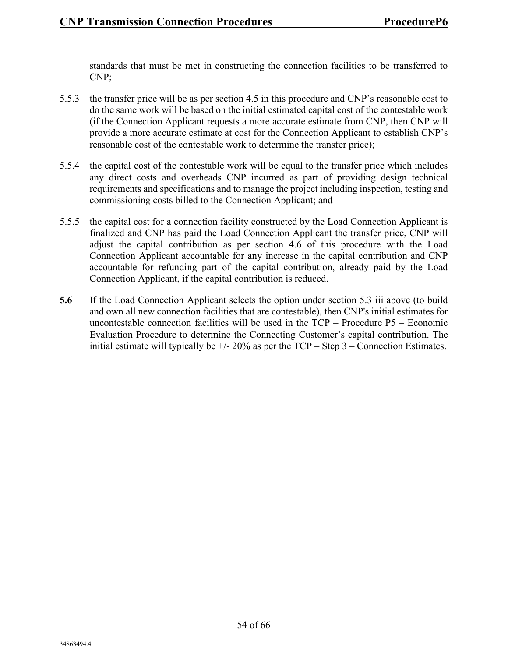standards that must be met in constructing the connection facilities to be transferred to CNP;

- 5.5.3 the transfer price will be as per section 4.5 in this procedure and CNP's reasonable cost to do the same work will be based on the initial estimated capital cost of the contestable work (if the Connection Applicant requests a more accurate estimate from CNP, then CNP will provide a more accurate estimate at cost for the Connection Applicant to establish CNP's reasonable cost of the contestable work to determine the transfer price);
- 5.5.4 the capital cost of the contestable work will be equal to the transfer price which includes any direct costs and overheads CNP incurred as part of providing design technical requirements and specifications and to manage the project including inspection, testing and commissioning costs billed to the Connection Applicant; and
- 5.5.5 the capital cost for a connection facility constructed by the Load Connection Applicant is finalized and CNP has paid the Load Connection Applicant the transfer price, CNP will adjust the capital contribution as per section 4.6 of this procedure with the Load Connection Applicant accountable for any increase in the capital contribution and CNP accountable for refunding part of the capital contribution, already paid by the Load Connection Applicant, if the capital contribution is reduced.
- **5.6** If the Load Connection Applicant selects the option under section 5.3 iii above (to build and own all new connection facilities that are contestable), then CNP's initial estimates for uncontestable connection facilities will be used in the TCP – Procedure P5 – Economic Evaluation Procedure to determine the Connecting Customer's capital contribution. The initial estimate will typically be  $+/- 20\%$  as per the TCP – Step 3 – Connection Estimates.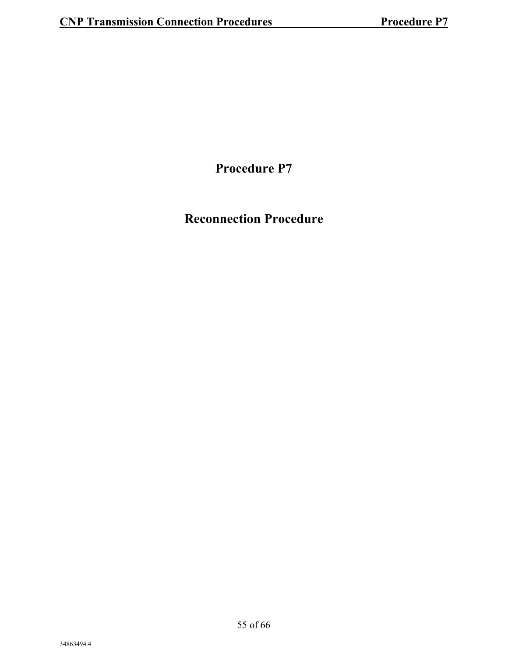**Procedure P7**

### **Reconnection Procedure**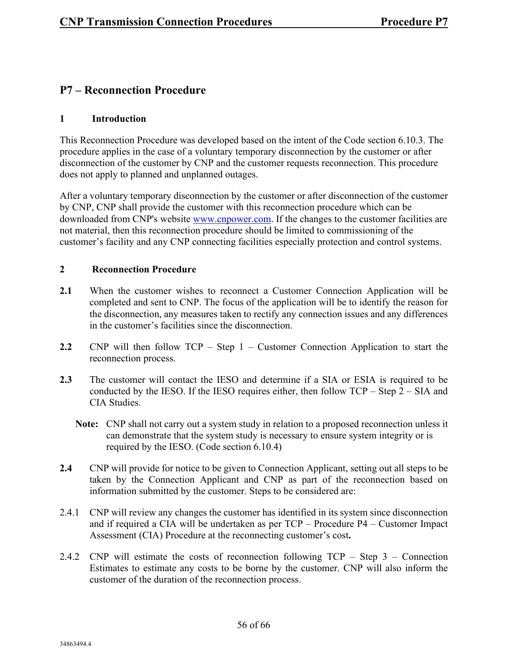#### **P7 – Reconnection Procedure**

#### **1 Introduction**

This Reconnection Procedure was developed based on the intent of the Code section 6.10.3. The procedure applies in the case of a voluntary temporary disconnection by the customer or after disconnection of the customer by CNP and the customer requests reconnection. This procedure does not apply to planned and unplanned outages.

After a voluntary temporary disconnection by the customer or after disconnection of the customer by CNP, CNP shall provide the customer with this reconnection procedure which can be downloaded from CNP's website [www.cnpower.com.](https://www.cnpower.com/) If the changes to the customer facilities are not material, then this reconnection procedure should be limited to commissioning of the customer's facility and any CNP connecting facilities especially protection and control systems.

#### **2 Reconnection Procedure**

- **2.1** When the customer wishes to reconnect a Customer Connection Application will be completed and sent to CNP. The focus of the application will be to identify the reason for the disconnection, any measures taken to rectify any connection issues and any differences in the customer's facilities since the disconnection.
- **2.2** CNP will then follow TCP Step 1 Customer Connection Application to start the reconnection process.
- **2.3** The customer will contact the IESO and determine if a SIA or ESIA is required to be conducted by the IESO. If the IESO requires either, then follow TCP – Step 2 – SIA and CIA Studies.
	- **Note:** CNP shall not carry out a system study in relation to a proposed reconnection unless it can demonstrate that the system study is necessary to ensure system integrity or is required by the IESO. (Code section 6.10.4)
- **2.4** CNP will provide for notice to be given to Connection Applicant, setting out all steps to be taken by the Connection Applicant and CNP as part of the reconnection based on information submitted by the customer. Steps to be considered are:
- 2.4.1 CNP will review any changes the customer has identified in its system since disconnection and if required a CIA will be undertaken as per TCP – Procedure P4 – Customer Impact Assessment (CIA) Procedure at the reconnecting customer's cost**.**
- 2.4.2 CNP will estimate the costs of reconnection following TCP Step 3 Connection Estimates to estimate any costs to be borne by the customer. CNP will also inform the customer of the duration of the reconnection process.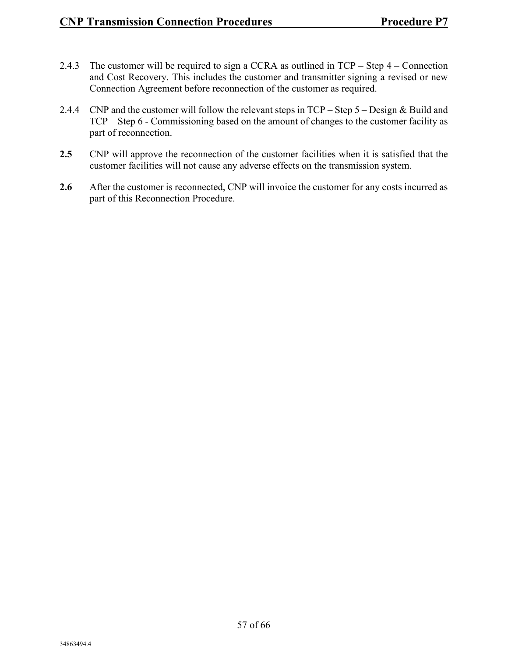- 2.4.3 The customer will be required to sign a CCRA as outlined in TCP Step 4 Connection and Cost Recovery. This includes the customer and transmitter signing a revised or new Connection Agreement before reconnection of the customer as required.
- 2.4.4 CNP and the customer will follow the relevant steps in TCP Step 5 Design & Build and TCP – Step 6 - Commissioning based on the amount of changes to the customer facility as part of reconnection.
- **2.5** CNP will approve the reconnection of the customer facilities when it is satisfied that the customer facilities will not cause any adverse effects on the transmission system.
- 2.6 After the customer is reconnected, CNP will invoice the customer for any costs incurred as part of this Reconnection Procedure.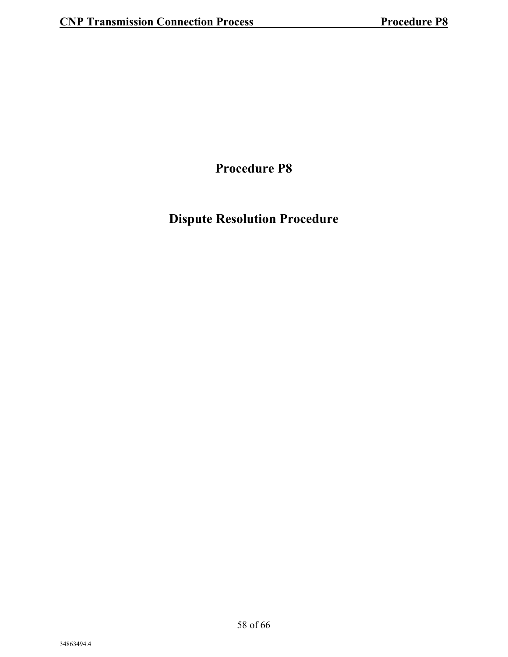**Procedure P8**

### **Dispute Resolution Procedure**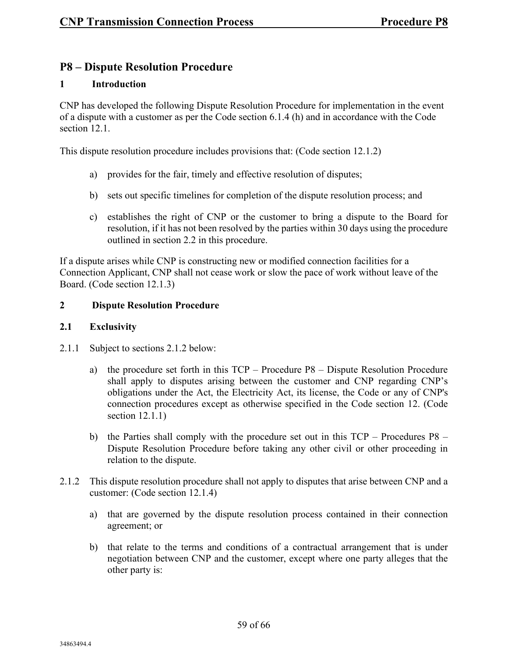#### **P8 – Dispute Resolution Procedure**

#### **1 Introduction**

CNP has developed the following Dispute Resolution Procedure for implementation in the event of a dispute with a customer as per the Code section 6.1.4 (h) and in accordance with the Code section 12.1.

This dispute resolution procedure includes provisions that: (Code section 12.1.2)

- a) provides for the fair, timely and effective resolution of disputes;
- b) sets out specific timelines for completion of the dispute resolution process; and
- c) establishes the right of CNP or the customer to bring a dispute to the Board for resolution, if it has not been resolved by the parties within 30 days using the procedure outlined in section 2.2 in this procedure.

If a dispute arises while CNP is constructing new or modified connection facilities for a Connection Applicant, CNP shall not cease work or slow the pace of work without leave of the Board. (Code section 12.1.3)

#### **2 Dispute Resolution Procedure**

#### **2.1 Exclusivity**

- 2.1.1 Subject to sections 2.1.2 below:
	- a) the procedure set forth in this TCP Procedure P8 Dispute Resolution Procedure shall apply to disputes arising between the customer and CNP regarding CNP's obligations under the Act, the Electricity Act, its license, the Code or any of CNP's connection procedures except as otherwise specified in the Code section 12. (Code section 12.1.1)
	- b) the Parties shall comply with the procedure set out in this TCP Procedures P8 Dispute Resolution Procedure before taking any other civil or other proceeding in relation to the dispute.
- 2.1.2 This dispute resolution procedure shall not apply to disputes that arise between CNP and a customer: (Code section 12.1.4)
	- a) that are governed by the dispute resolution process contained in their connection agreement; or
	- b) that relate to the terms and conditions of a contractual arrangement that is under negotiation between CNP and the customer, except where one party alleges that the other party is: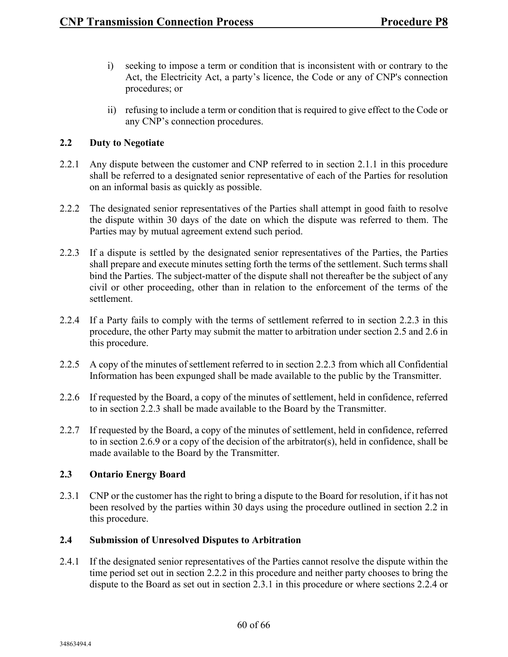- i) seeking to impose a term or condition that is inconsistent with or contrary to the Act, the Electricity Act, a party's licence, the Code or any of CNP's connection procedures; or
- ii) refusing to include a term or condition that is required to give effect to the Code or any CNP's connection procedures.

#### **2.2 Duty to Negotiate**

- 2.2.1 Any dispute between the customer and CNP referred to in section 2.1.1 in this procedure shall be referred to a designated senior representative of each of the Parties for resolution on an informal basis as quickly as possible.
- 2.2.2 The designated senior representatives of the Parties shall attempt in good faith to resolve the dispute within 30 days of the date on which the dispute was referred to them. The Parties may by mutual agreement extend such period.
- 2.2.3 If a dispute is settled by the designated senior representatives of the Parties, the Parties shall prepare and execute minutes setting forth the terms of the settlement. Such terms shall bind the Parties. The subject-matter of the dispute shall not thereafter be the subject of any civil or other proceeding, other than in relation to the enforcement of the terms of the settlement.
- 2.2.4 If a Party fails to comply with the terms of settlement referred to in section 2.2.3 in this procedure, the other Party may submit the matter to arbitration under section 2.5 and 2.6 in this procedure.
- 2.2.5 A copy of the minutes of settlement referred to in section 2.2.3 from which all Confidential Information has been expunged shall be made available to the public by the Transmitter.
- 2.2.6 If requested by the Board, a copy of the minutes of settlement, held in confidence, referred to in section 2.2.3 shall be made available to the Board by the Transmitter.
- 2.2.7 If requested by the Board, a copy of the minutes of settlement, held in confidence, referred to in section 2.6.9 or a copy of the decision of the arbitrator(s), held in confidence, shall be made available to the Board by the Transmitter.

#### **2.3 Ontario Energy Board**

2.3.1 CNP or the customer has the right to bring a dispute to the Board for resolution, if it has not been resolved by the parties within 30 days using the procedure outlined in section 2.2 in this procedure.

#### **2.4 Submission of Unresolved Disputes to Arbitration**

2.4.1 If the designated senior representatives of the Parties cannot resolve the dispute within the time period set out in section 2.2.2 in this procedure and neither party chooses to bring the dispute to the Board as set out in section 2.3.1 in this procedure or where sections 2.2.4 or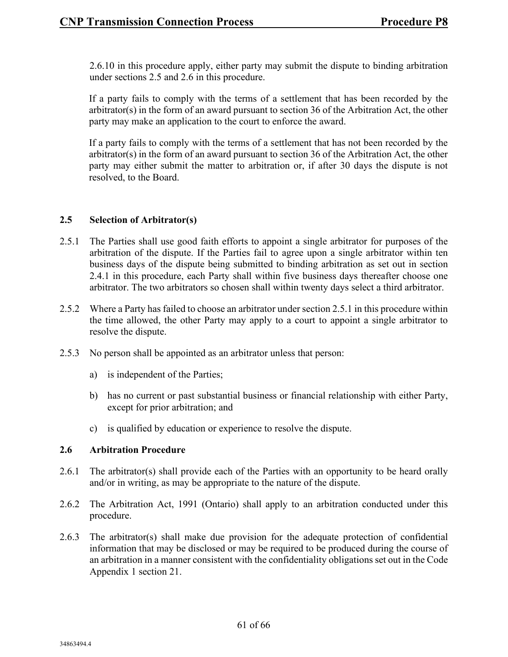2.6.10 in this procedure apply, either party may submit the dispute to binding arbitration under sections 2.5 and 2.6 in this procedure.

If a party fails to comply with the terms of a settlement that has been recorded by the arbitrator(s) in the form of an award pursuant to section 36 of the Arbitration Act, the other party may make an application to the court to enforce the award.

If a party fails to comply with the terms of a settlement that has not been recorded by the arbitrator(s) in the form of an award pursuant to section 36 of the Arbitration Act, the other party may either submit the matter to arbitration or, if after 30 days the dispute is not resolved, to the Board.

#### **2.5 Selection of Arbitrator(s)**

- 2.5.1 The Parties shall use good faith efforts to appoint a single arbitrator for purposes of the arbitration of the dispute. If the Parties fail to agree upon a single arbitrator within ten business days of the dispute being submitted to binding arbitration as set out in section 2.4.1 in this procedure, each Party shall within five business days thereafter choose one arbitrator. The two arbitrators so chosen shall within twenty days select a third arbitrator.
- 2.5.2 Where a Party has failed to choose an arbitrator under section 2.5.1 in this procedure within the time allowed, the other Party may apply to a court to appoint a single arbitrator to resolve the dispute.
- 2.5.3 No person shall be appointed as an arbitrator unless that person:
	- a) is independent of the Parties;
	- b) has no current or past substantial business or financial relationship with either Party, except for prior arbitration; and
	- c) is qualified by education or experience to resolve the dispute.

#### **2.6 Arbitration Procedure**

- 2.6.1 The arbitrator(s) shall provide each of the Parties with an opportunity to be heard orally and/or in writing, as may be appropriate to the nature of the dispute.
- 2.6.2 The Arbitration Act, 1991 (Ontario) shall apply to an arbitration conducted under this procedure.
- 2.6.3 The arbitrator(s) shall make due provision for the adequate protection of confidential information that may be disclosed or may be required to be produced during the course of an arbitration in a manner consistent with the confidentiality obligations set out in the Code Appendix 1 section 21.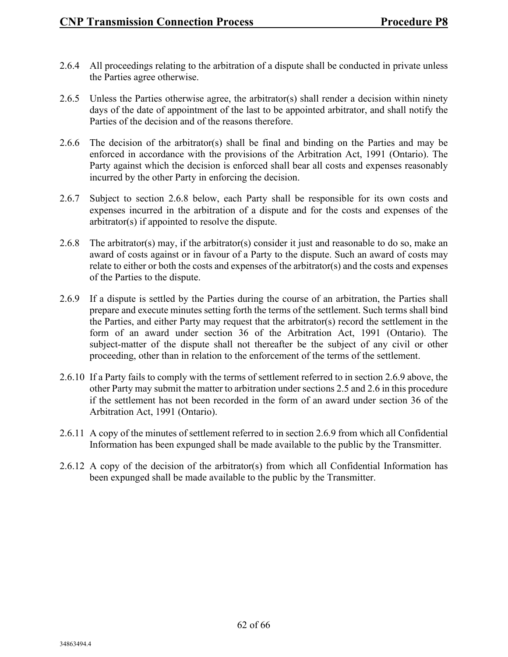- 2.6.4 All proceedings relating to the arbitration of a dispute shall be conducted in private unless the Parties agree otherwise.
- 2.6.5 Unless the Parties otherwise agree, the arbitrator(s) shall render a decision within ninety days of the date of appointment of the last to be appointed arbitrator, and shall notify the Parties of the decision and of the reasons therefore.
- 2.6.6 The decision of the arbitrator(s) shall be final and binding on the Parties and may be enforced in accordance with the provisions of the Arbitration Act, 1991 (Ontario). The Party against which the decision is enforced shall bear all costs and expenses reasonably incurred by the other Party in enforcing the decision.
- 2.6.7 Subject to section 2.6.8 below, each Party shall be responsible for its own costs and expenses incurred in the arbitration of a dispute and for the costs and expenses of the arbitrator(s) if appointed to resolve the dispute.
- 2.6.8 The arbitrator(s) may, if the arbitrator(s) consider it just and reasonable to do so, make an award of costs against or in favour of a Party to the dispute. Such an award of costs may relate to either or both the costs and expenses of the arbitrator(s) and the costs and expenses of the Parties to the dispute.
- 2.6.9 If a dispute is settled by the Parties during the course of an arbitration, the Parties shall prepare and execute minutes setting forth the terms of the settlement. Such terms shall bind the Parties, and either Party may request that the arbitrator(s) record the settlement in the form of an award under section 36 of the Arbitration Act, 1991 (Ontario). The subject-matter of the dispute shall not thereafter be the subject of any civil or other proceeding, other than in relation to the enforcement of the terms of the settlement.
- 2.6.10 If a Party fails to comply with the terms of settlement referred to in section 2.6.9 above, the other Party may submit the matter to arbitration under sections 2.5 and 2.6 in this procedure if the settlement has not been recorded in the form of an award under section 36 of the Arbitration Act, 1991 (Ontario).
- 2.6.11 A copy of the minutes of settlement referred to in section 2.6.9 from which all Confidential Information has been expunged shall be made available to the public by the Transmitter.
- 2.6.12 A copy of the decision of the arbitrator(s) from which all Confidential Information has been expunged shall be made available to the public by the Transmitter.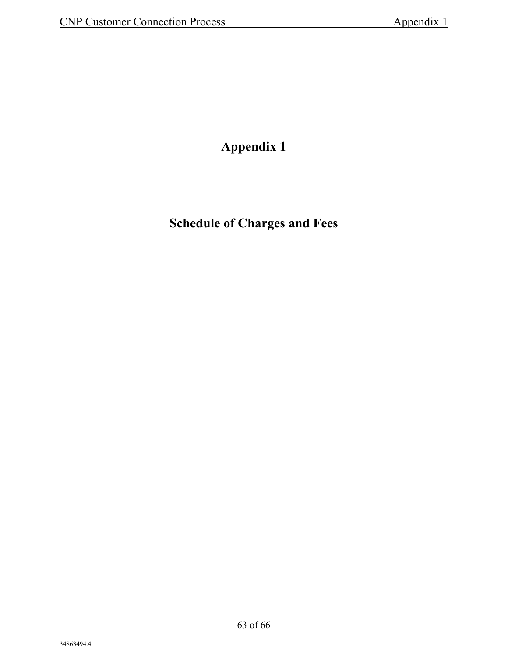### **Appendix 1**

**Schedule of Charges and Fees**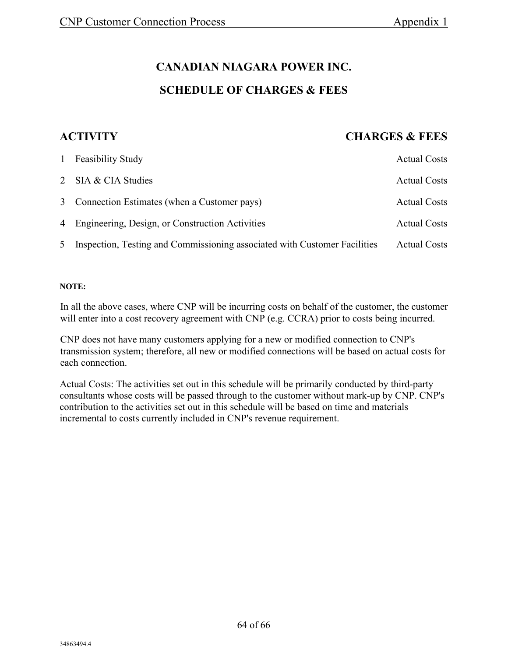#### **CANADIAN NIAGARA POWER INC.**

#### **SCHEDULE OF CHARGES & FEES**

#### **ACTIVITY CHARGES & FEES**

|                | 1 Feasibility Study                                                       | <b>Actual Costs</b> |
|----------------|---------------------------------------------------------------------------|---------------------|
|                | 2 SIA & CIA Studies                                                       | <b>Actual Costs</b> |
|                | 3 Connection Estimates (when a Customer pays)                             | <b>Actual Costs</b> |
|                | 4 Engineering, Design, or Construction Activities                         | <b>Actual Costs</b> |
| 5 <sup>5</sup> | Inspection, Testing and Commissioning associated with Customer Facilities | <b>Actual Costs</b> |

#### **NOTE:**

In all the above cases, where CNP will be incurring costs on behalf of the customer, the customer will enter into a cost recovery agreement with CNP (e.g. CCRA) prior to costs being incurred.

CNP does not have many customers applying for a new or modified connection to CNP's transmission system; therefore, all new or modified connections will be based on actual costs for each connection.

Actual Costs: The activities set out in this schedule will be primarily conducted by third-party consultants whose costs will be passed through to the customer without mark-up by CNP. CNP's contribution to the activities set out in this schedule will be based on time and materials incremental to costs currently included in CNP's revenue requirement.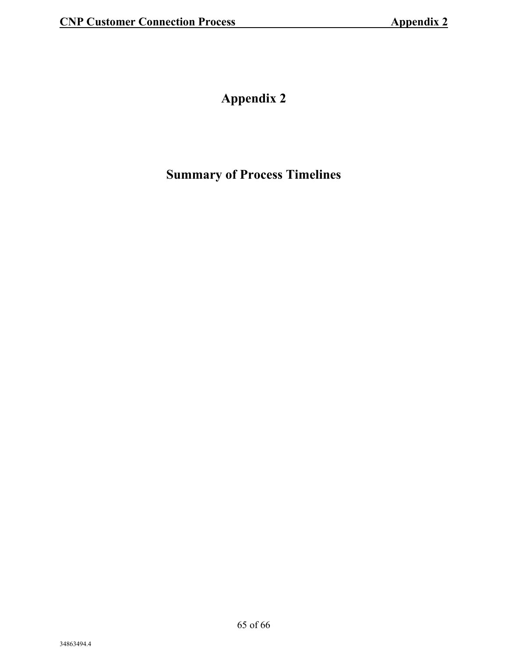### **Appendix 2**

### **Summary of Process Timelines**